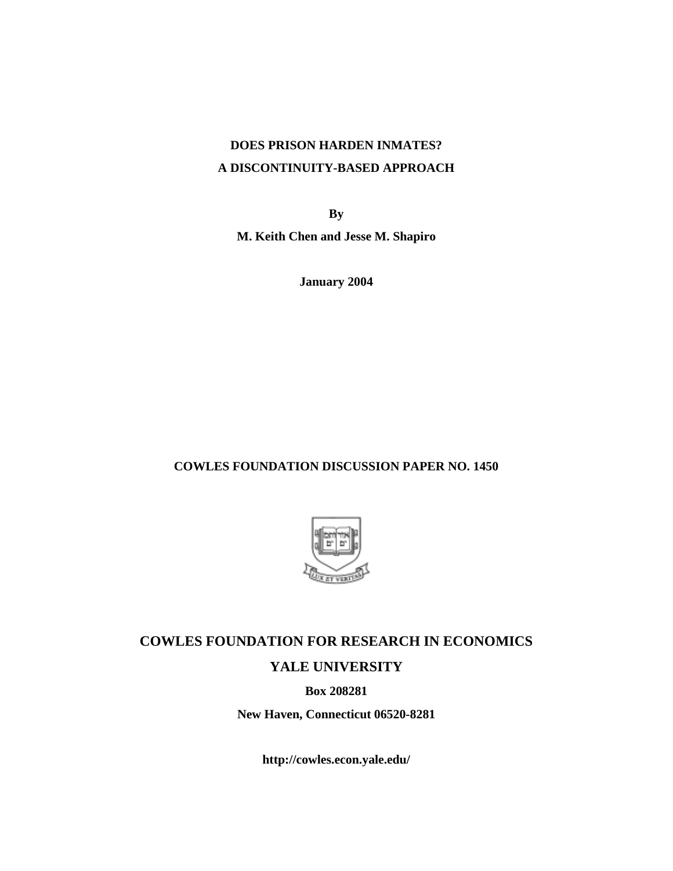## **DOES PRISON HARDEN INMATES? A DISCONTINUITY-BASED APPROACH**

**By** 

**M. Keith Chen and Jesse M. Shapiro** 

**January 2004** 

### **COWLES FOUNDATION DISCUSSION PAPER NO. 1450**



# **COWLES FOUNDATION FOR RESEARCH IN ECONOMICS YALE UNIVERSITY**

**Box 208281** 

**New Haven, Connecticut 06520-8281** 

**http://cowles.econ.yale.edu/**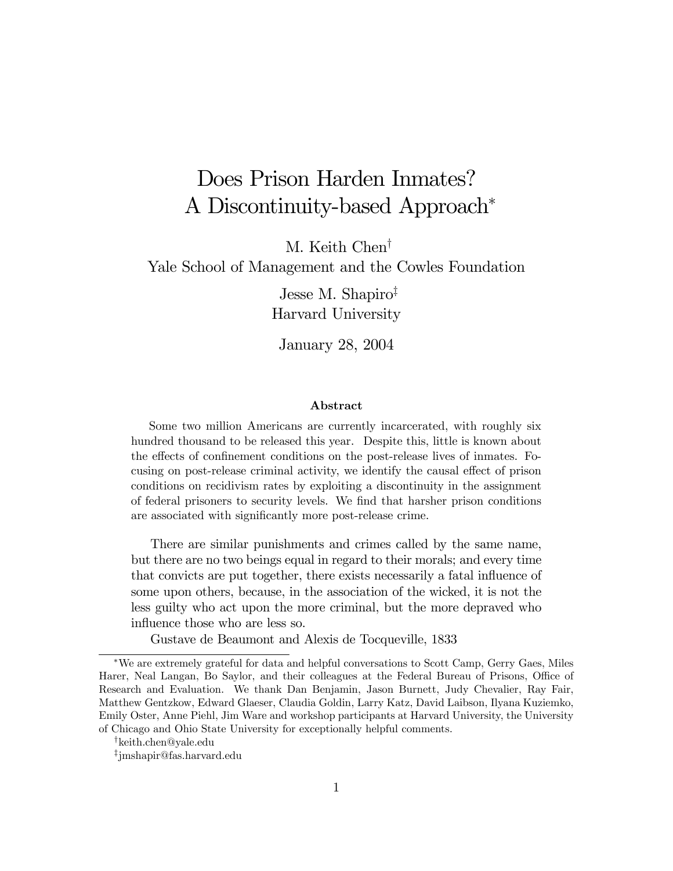# Does Prison Harden Inmates? A Discontinuity-based Approach<sup>∗</sup>

M. Keith Chen†

Yale School of Management and the Cowles Foundation

Jesse M. Shapiro‡ Harvard University

January 28, 2004

#### Abstract

Some two million Americans are currently incarcerated, with roughly six hundred thousand to be released this year. Despite this, little is known about the effects of confinement conditions on the post-release lives of inmates. Focusing on post-release criminal activity, we identify the causal effect of prison conditions on recidivism rates by exploiting a discontinuity in the assignment of federal prisoners to security levels. We find that harsher prison conditions are associated with significantly more post-release crime.

There are similar punishments and crimes called by the same name, but there are no two beings equal in regard to their morals; and every time that convicts are put together, there exists necessarily a fatal influence of some upon others, because, in the association of the wicked, it is not the less guilty who act upon the more criminal, but the more depraved who influence those who are less so.

Gustave de Beaumont and Alexis de Tocqueville, 1833

<sup>∗</sup>We are extremely grateful for data and helpful conversations to Scott Camp, Gerry Gaes, Miles Harer, Neal Langan, Bo Saylor, and their colleagues at the Federal Bureau of Prisons, Office of Research and Evaluation. We thank Dan Benjamin, Jason Burnett, Judy Chevalier, Ray Fair, Matthew Gentzkow, Edward Glaeser, Claudia Goldin, Larry Katz, David Laibson, Ilyana Kuziemko, Emily Oster, Anne Piehl, Jim Ware and workshop participants at Harvard University, the University of Chicago and Ohio State University for exceptionally helpful comments.

<sup>†</sup>keith.chen@yale.edu

<sup>‡</sup>jmshapir@fas.harvard.edu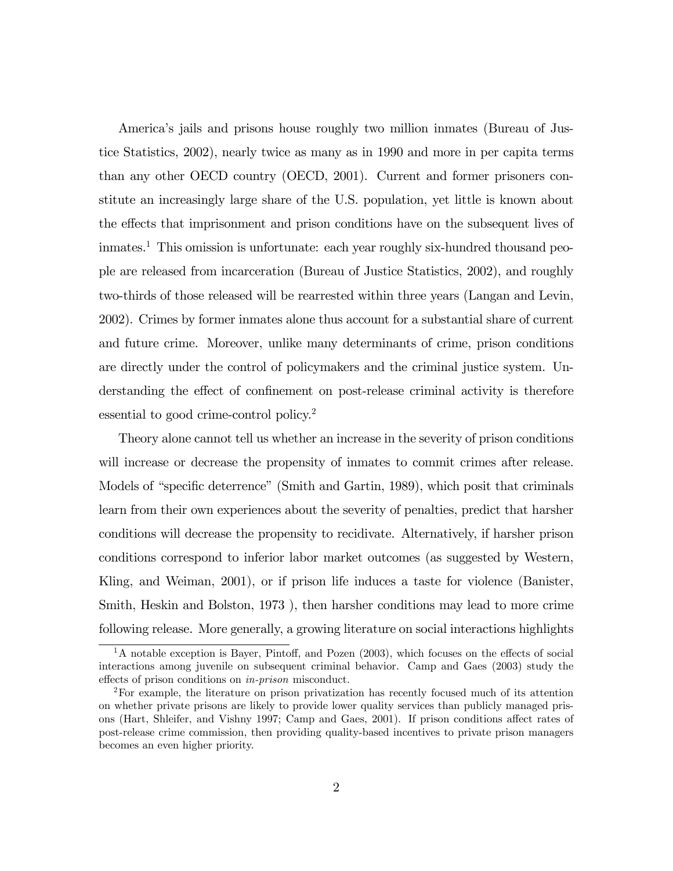America's jails and prisons house roughly two million inmates (Bureau of Justice Statistics, 2002), nearly twice as many as in 1990 and more in per capita terms than any other OECD country (OECD, 2001). Current and former prisoners constitute an increasingly large share of the U.S. population, yet little is known about the effects that imprisonment and prison conditions have on the subsequent lives of inmates.1 This omission is unfortunate: each year roughly six-hundred thousand people are released from incarceration (Bureau of Justice Statistics, 2002), and roughly two-thirds of those released will be rearrested within three years (Langan and Levin, 2002). Crimes by former inmates alone thus account for a substantial share of current and future crime. Moreover, unlike many determinants of crime, prison conditions are directly under the control of policymakers and the criminal justice system. Understanding the effect of confinement on post-release criminal activity is therefore essential to good crime-control policy.<sup>2</sup>

Theory alone cannot tell us whether an increase in the severity of prison conditions will increase or decrease the propensity of inmates to commit crimes after release. Models of "specific deterrence" (Smith and Gartin, 1989), which posit that criminals learn from their own experiences about the severity of penalties, predict that harsher conditions will decrease the propensity to recidivate. Alternatively, if harsher prison conditions correspond to inferior labor market outcomes (as suggested by Western, Kling, and Weiman, 2001), or if prison life induces a taste for violence (Banister, Smith, Heskin and Bolston, 1973 ), then harsher conditions may lead to more crime following release. More generally, a growing literature on social interactions highlights

 $1<sup>1</sup>$ A notable exception is Bayer, Pintoff, and Pozen (2003), which focuses on the effects of social interactions among juvenile on subsequent criminal behavior. Camp and Gaes (2003) study the effects of prison conditions on in-prison misconduct.

<sup>2</sup>For example, the literature on prison privatization has recently focused much of its attention on whether private prisons are likely to provide lower quality services than publicly managed prisons (Hart, Shleifer, and Vishny 1997; Camp and Gaes, 2001). If prison conditions affect rates of post-release crime commission, then providing quality-based incentives to private prison managers becomes an even higher priority.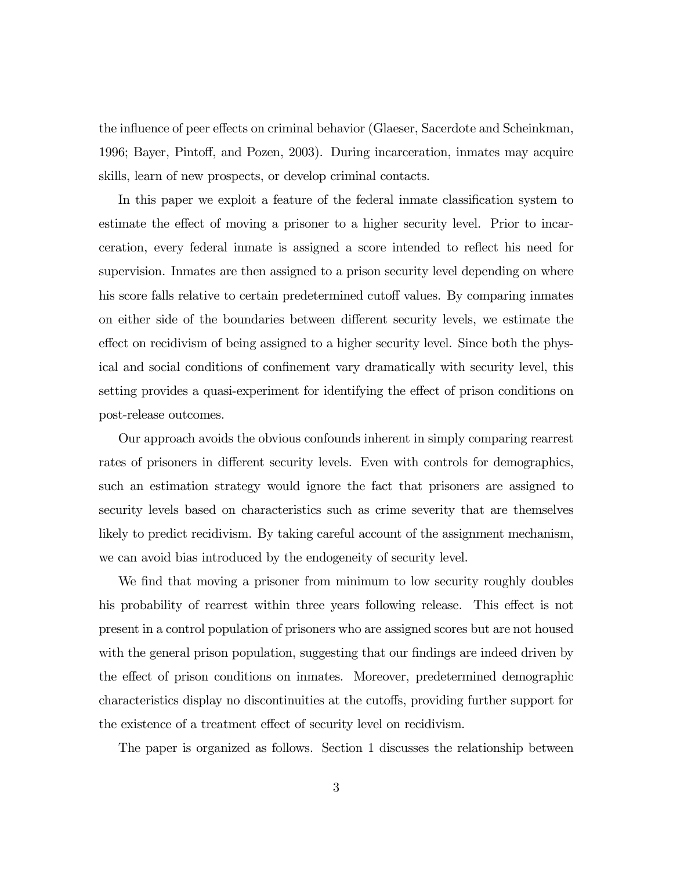the influence of peer effects on criminal behavior (Glaeser, Sacerdote and Scheinkman, 1996; Bayer, Pintoff, and Pozen, 2003). During incarceration, inmates may acquire skills, learn of new prospects, or develop criminal contacts.

In this paper we exploit a feature of the federal inmate classification system to estimate the effect of moving a prisoner to a higher security level. Prior to incarceration, every federal inmate is assigned a score intended to reflect his need for supervision. Inmates are then assigned to a prison security level depending on where his score falls relative to certain predetermined cutoff values. By comparing inmates on either side of the boundaries between different security levels, we estimate the effect on recidivism of being assigned to a higher security level. Since both the physical and social conditions of confinement vary dramatically with security level, this setting provides a quasi-experiment for identifying the effect of prison conditions on post-release outcomes.

Our approach avoids the obvious confounds inherent in simply comparing rearrest rates of prisoners in different security levels. Even with controls for demographics, such an estimation strategy would ignore the fact that prisoners are assigned to security levels based on characteristics such as crime severity that are themselves likely to predict recidivism. By taking careful account of the assignment mechanism, we can avoid bias introduced by the endogeneity of security level.

We find that moving a prisoner from minimum to low security roughly doubles his probability of rearrest within three years following release. This effect is not present in a control population of prisoners who are assigned scores but are not housed with the general prison population, suggesting that our findings are indeed driven by the effect of prison conditions on inmates. Moreover, predetermined demographic characteristics display no discontinuities at the cutoffs, providing further support for the existence of a treatment effect of security level on recidivism.

The paper is organized as follows. Section 1 discusses the relationship between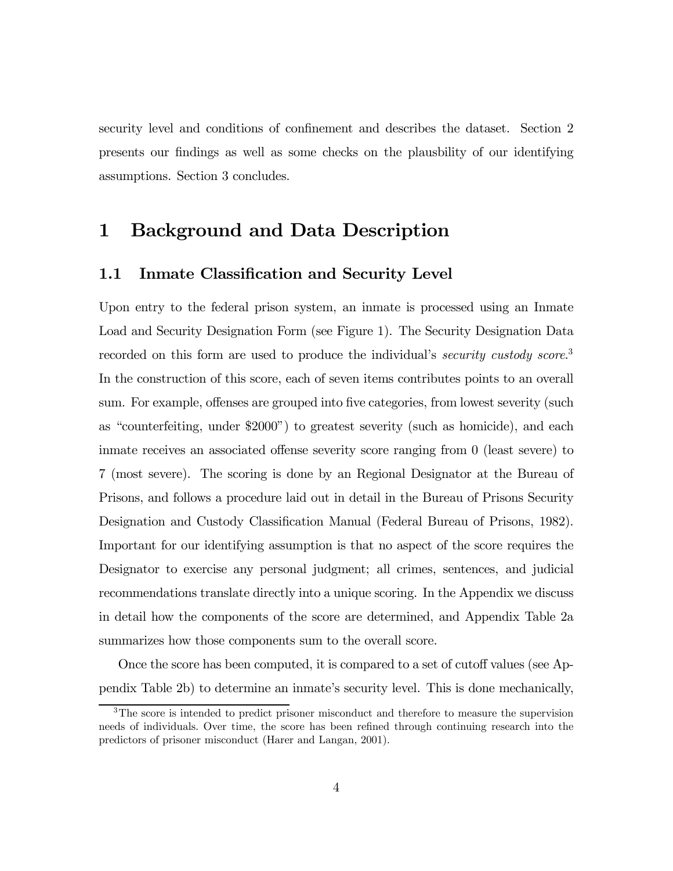security level and conditions of confinement and describes the dataset. Section 2 presents our findings as well as some checks on the plausbility of our identifying assumptions. Section 3 concludes.

### 1 Background and Data Description

### 1.1 Inmate Classification and Security Level

Upon entry to the federal prison system, an inmate is processed using an Inmate Load and Security Designation Form (see Figure 1). The Security Designation Data recorded on this form are used to produce the individual's *security custody score*.<sup>3</sup> In the construction of this score, each of seven items contributes points to an overall sum. For example, offenses are grouped into five categories, from lowest severity (such as "counterfeiting, under \$2000") to greatest severity (such as homicide), and each inmate receives an associated offense severity score ranging from 0 (least severe) to 7 (most severe). The scoring is done by an Regional Designator at the Bureau of Prisons, and follows a procedure laid out in detail in the Bureau of Prisons Security Designation and Custody Classification Manual (Federal Bureau of Prisons, 1982). Important for our identifying assumption is that no aspect of the score requires the Designator to exercise any personal judgment; all crimes, sentences, and judicial recommendations translate directly into a unique scoring. In the Appendix we discuss in detail how the components of the score are determined, and Appendix Table 2a summarizes how those components sum to the overall score.

Once the score has been computed, it is compared to a set of cutoff values (see Appendix Table 2b) to determine an inmate's security level. This is done mechanically,

<sup>&</sup>lt;sup>3</sup>The score is intended to predict prisoner misconduct and therefore to measure the supervision needs of individuals. Over time, the score has been refined through continuing research into the predictors of prisoner misconduct (Harer and Langan, 2001).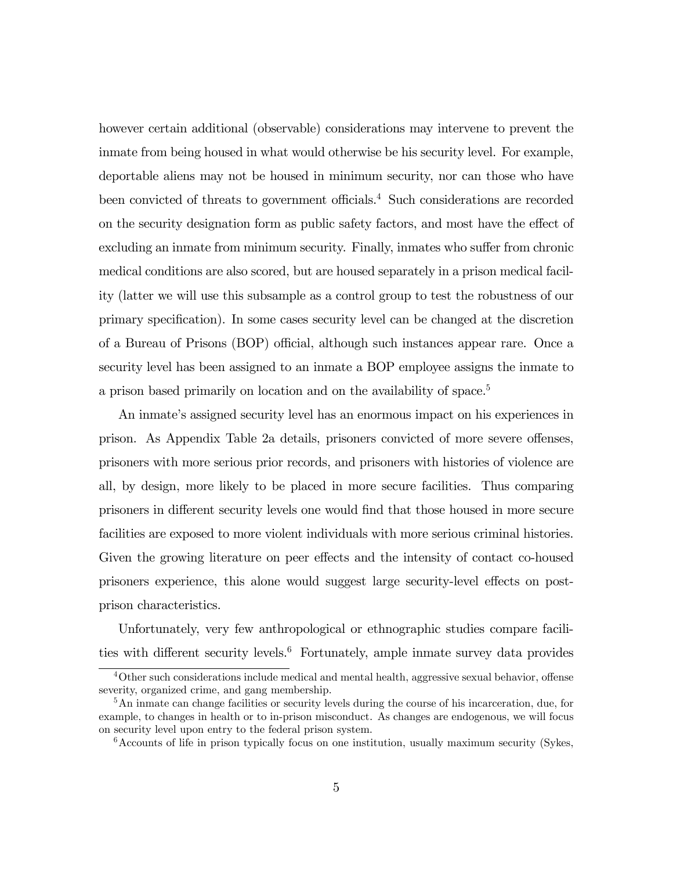however certain additional (observable) considerations may intervene to prevent the inmate from being housed in what would otherwise be his security level. For example, deportable aliens may not be housed in minimum security, nor can those who have been convicted of threats to government officials.<sup>4</sup> Such considerations are recorded on the security designation form as public safety factors, and most have the effect of excluding an inmate from minimum security. Finally, inmates who suffer from chronic medical conditions are also scored, but are housed separately in a prison medical facility (latter we will use this subsample as a control group to test the robustness of our primary specification). In some cases security level can be changed at the discretion of a Bureau of Prisons (BOP) official, although such instances appear rare. Once a security level has been assigned to an inmate a BOP employee assigns the inmate to a prison based primarily on location and on the availability of space.<sup>5</sup>

An inmate's assigned security level has an enormous impact on his experiences in prison. As Appendix Table 2a details, prisoners convicted of more severe offenses, prisoners with more serious prior records, and prisoners with histories of violence are all, by design, more likely to be placed in more secure facilities. Thus comparing prisoners in different security levels one would find that those housed in more secure facilities are exposed to more violent individuals with more serious criminal histories. Given the growing literature on peer effects and the intensity of contact co-housed prisoners experience, this alone would suggest large security-level effects on postprison characteristics.

Unfortunately, very few anthropological or ethnographic studies compare facilities with different security levels.<sup>6</sup> Fortunately, ample inmate survey data provides

<sup>4</sup>Other such considerations include medical and mental health, aggressive sexual behavior, offense severity, organized crime, and gang membership.

<sup>&</sup>lt;sup>5</sup>An inmate can change facilities or security levels during the course of his incarceration, due, for example, to changes in health or to in-prison misconduct. As changes are endogenous, we will focus on security level upon entry to the federal prison system.

 $6$ Accounts of life in prison typically focus on one institution, usually maximum security (Sykes,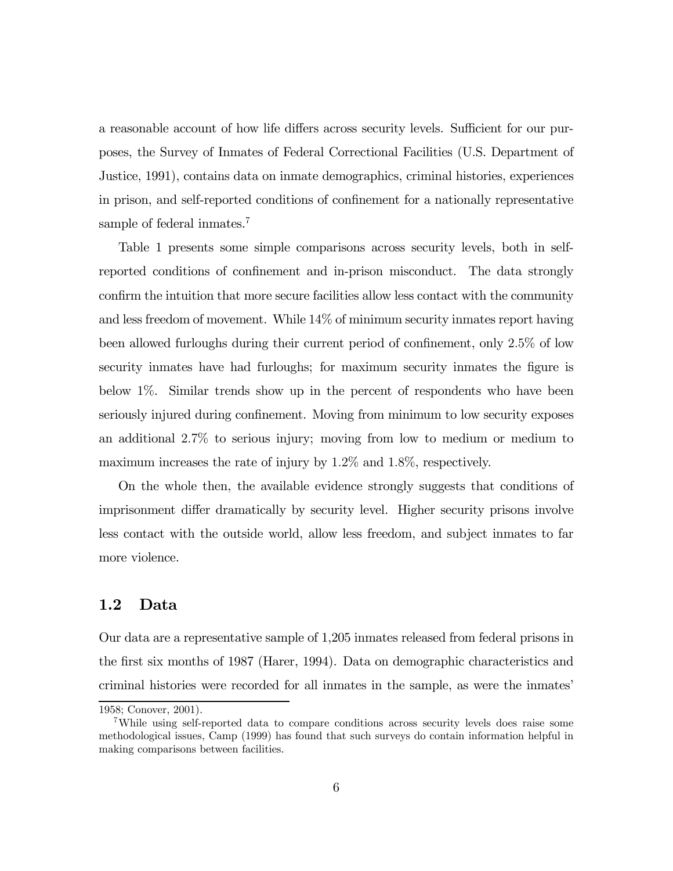a reasonable account of how life differs across security levels. Sufficient for our purposes, the Survey of Inmates of Federal Correctional Facilities (U.S. Department of Justice, 1991), contains data on inmate demographics, criminal histories, experiences in prison, and self-reported conditions of confinement for a nationally representative sample of federal inmates.<sup>7</sup>

Table 1 presents some simple comparisons across security levels, both in selfreported conditions of confinement and in-prison misconduct. The data strongly confirm the intuition that more secure facilities allow less contact with the community and less freedom of movement. While 14% of minimum security inmates report having been allowed furloughs during their current period of confinement, only 2.5% of low security inmates have had furloughs; for maximum security inmates the figure is below 1%. Similar trends show up in the percent of respondents who have been seriously injured during confinement. Moving from minimum to low security exposes an additional 2.7% to serious injury; moving from low to medium or medium to maximum increases the rate of injury by 1.2% and 1.8%, respectively.

On the whole then, the available evidence strongly suggests that conditions of imprisonment differ dramatically by security level. Higher security prisons involve less contact with the outside world, allow less freedom, and subject inmates to far more violence.

### 1.2 Data

Our data are a representative sample of 1,205 inmates released from federal prisons in the first six months of 1987 (Harer, 1994). Data on demographic characteristics and criminal histories were recorded for all inmates in the sample, as were the inmates'

<sup>1958;</sup> Conover, 2001).

<sup>7</sup>While using self-reported data to compare conditions across security levels does raise some methodological issues, Camp (1999) has found that such surveys do contain information helpful in making comparisons between facilities.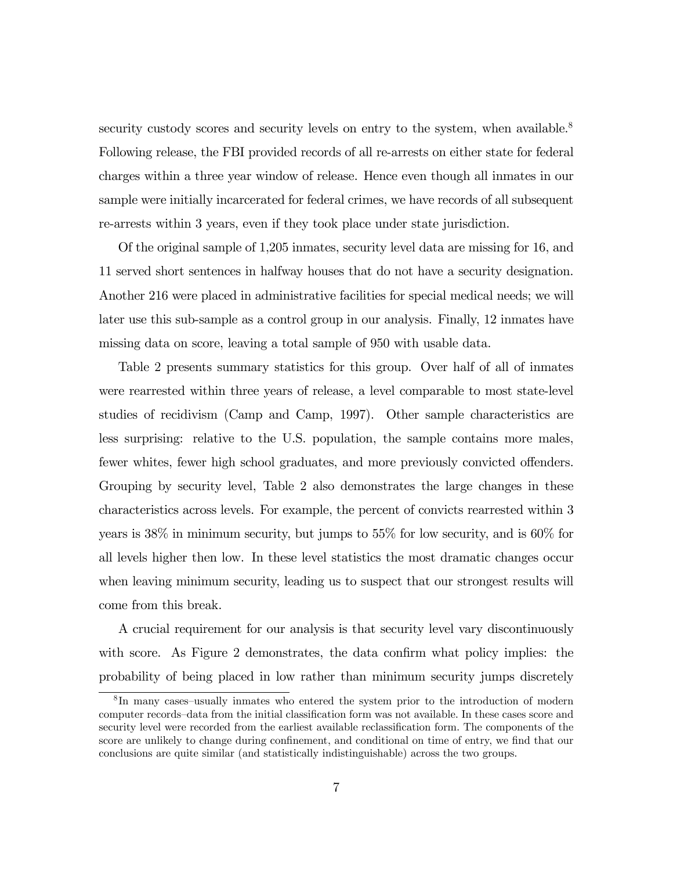security custody scores and security levels on entry to the system, when available.<sup>8</sup> Following release, the FBI provided records of all re-arrests on either state for federal charges within a three year window of release. Hence even though all inmates in our sample were initially incarcerated for federal crimes, we have records of all subsequent re-arrests within 3 years, even if they took place under state jurisdiction.

Of the original sample of 1,205 inmates, security level data are missing for 16, and 11 served short sentences in halfway houses that do not have a security designation. Another 216 were placed in administrative facilities for special medical needs; we will later use this sub-sample as a control group in our analysis. Finally, 12 inmates have missing data on score, leaving a total sample of 950 with usable data.

Table 2 presents summary statistics for this group. Over half of all of inmates were rearrested within three years of release, a level comparable to most state-level studies of recidivism (Camp and Camp, 1997). Other sample characteristics are less surprising: relative to the U.S. population, the sample contains more males, fewer whites, fewer high school graduates, and more previously convicted offenders. Grouping by security level, Table 2 also demonstrates the large changes in these characteristics across levels. For example, the percent of convicts rearrested within 3 years is 38% in minimum security, but jumps to 55% for low security, and is 60% for all levels higher then low. In these level statistics the most dramatic changes occur when leaving minimum security, leading us to suspect that our strongest results will come from this break.

A crucial requirement for our analysis is that security level vary discontinuously with score. As Figure 2 demonstrates, the data confirm what policy implies: the probability of being placed in low rather than minimum security jumps discretely

<sup>8</sup> In many cases—usually inmates who entered the system prior to the introduction of modern computer records—data from the initial classification form was not available. In these cases score and security level were recorded from the earliest available reclassification form. The components of the score are unlikely to change during confinement, and conditional on time of entry, we find that our conclusions are quite similar (and statistically indistinguishable) across the two groups.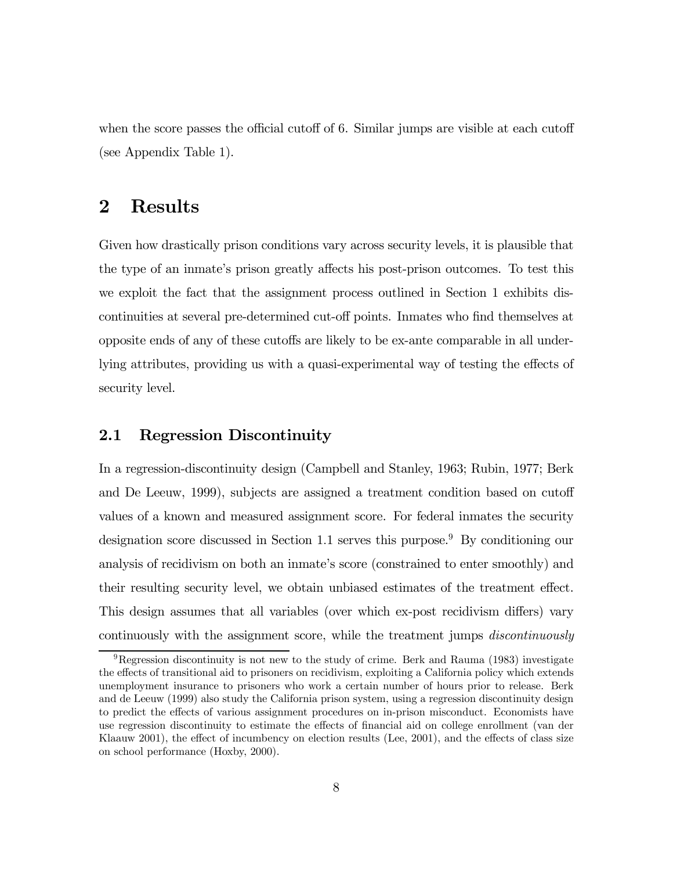when the score passes the official cutoff of 6. Similar jumps are visible at each cutoff (see Appendix Table 1).

### 2 Results

Given how drastically prison conditions vary across security levels, it is plausible that the type of an inmate's prison greatly affects his post-prison outcomes. To test this we exploit the fact that the assignment process outlined in Section 1 exhibits discontinuities at several pre-determined cut-off points. Inmates who find themselves at opposite ends of any of these cutoffs are likely to be ex-ante comparable in all underlying attributes, providing us with a quasi-experimental way of testing the effects of security level.

#### 2.1 Regression Discontinuity

In a regression-discontinuity design (Campbell and Stanley, 1963; Rubin, 1977; Berk and De Leeuw, 1999), subjects are assigned a treatment condition based on cutoff values of a known and measured assignment score. For federal inmates the security designation score discussed in Section 1.1 serves this purpose.<sup>9</sup> By conditioning our analysis of recidivism on both an inmate's score (constrained to enter smoothly) and their resulting security level, we obtain unbiased estimates of the treatment effect. This design assumes that all variables (over which ex-post recidivism differs) vary continuously with the assignment score, while the treatment jumps discontinuously

 ${}^{9}$ Regression discontinuity is not new to the study of crime. Berk and Rauma (1983) investigate the effects of transitional aid to prisoners on recidivism, exploiting a California policy which extends unemployment insurance to prisoners who work a certain number of hours prior to release. Berk and de Leeuw (1999) also study the California prison system, using a regression discontinuity design to predict the effects of various assignment procedures on in-prison misconduct. Economists have use regression discontinuity to estimate the effects of financial aid on college enrollment (van der Klaauw 2001), the effect of incumbency on election results (Lee, 2001), and the effects of class size on school performance (Hoxby, 2000).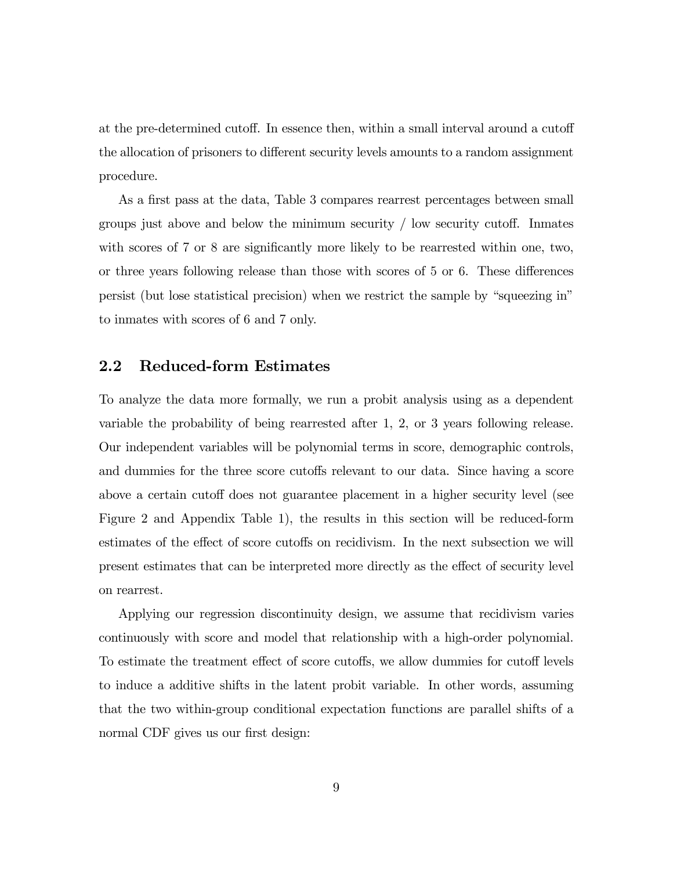at the pre-determined cutoff. In essence then, within a small interval around a cutoff the allocation of prisoners to different security levels amounts to a random assignment procedure.

As a first pass at the data, Table 3 compares rearrest percentages between small groups just above and below the minimum security / low security cutoff. Inmates with scores of 7 or 8 are significantly more likely to be rearrested within one, two, or three years following release than those with scores of 5 or 6. These differences persist (but lose statistical precision) when we restrict the sample by "squeezing in" to inmates with scores of 6 and 7 only.

#### 2.2 Reduced-form Estimates

To analyze the data more formally, we run a probit analysis using as a dependent variable the probability of being rearrested after 1, 2, or 3 years following release. Our independent variables will be polynomial terms in score, demographic controls, and dummies for the three score cutoffs relevant to our data. Since having a score above a certain cutoff does not guarantee placement in a higher security level (see Figure 2 and Appendix Table 1), the results in this section will be reduced-form estimates of the effect of score cutoffs on recidivism. In the next subsection we will present estimates that can be interpreted more directly as the effect of security level on rearrest.

Applying our regression discontinuity design, we assume that recidivism varies continuously with score and model that relationship with a high-order polynomial. To estimate the treatment effect of score cutoffs, we allow dummies for cutoff levels to induce a additive shifts in the latent probit variable. In other words, assuming that the two within-group conditional expectation functions are parallel shifts of a normal CDF gives us our first design: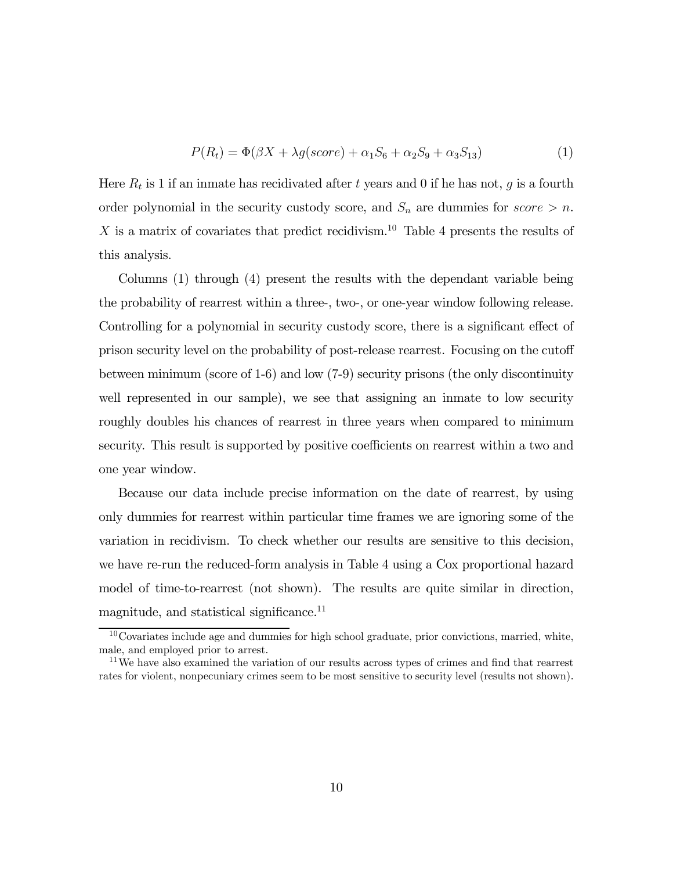$$
P(Rt) = \Phi(\beta X + \lambda g(score) + \alpha_1 S_6 + \alpha_2 S_9 + \alpha_3 S_{13})
$$
\n(1)

Here  $R_t$  is 1 if an inmate has recidivated after t years and 0 if he has not, g is a fourth order polynomial in the security custody score, and  $S_n$  are dummies for score  $>n$ . X is a matrix of covariates that predict recidivism.<sup>10</sup> Table 4 presents the results of this analysis.

Columns (1) through (4) present the results with the dependant variable being the probability of rearrest within a three-, two-, or one-year window following release. Controlling for a polynomial in security custody score, there is a significant effect of prison security level on the probability of post-release rearrest. Focusing on the cutoff between minimum (score of 1-6) and low (7-9) security prisons (the only discontinuity well represented in our sample), we see that assigning an inmate to low security roughly doubles his chances of rearrest in three years when compared to minimum security. This result is supported by positive coefficients on rearrest within a two and one year window.

Because our data include precise information on the date of rearrest, by using only dummies for rearrest within particular time frames we are ignoring some of the variation in recidivism. To check whether our results are sensitive to this decision, we have re-run the reduced-form analysis in Table 4 using a Cox proportional hazard model of time-to-rearrest (not shown). The results are quite similar in direction, magnitude, and statistical significance.<sup>11</sup>

<sup>10</sup>Covariates include age and dummies for high school graduate, prior convictions, married, white, male, and employed prior to arrest.

<sup>&</sup>lt;sup>11</sup>We have also examined the variation of our results across types of crimes and find that rearrest rates for violent, nonpecuniary crimes seem to be most sensitive to security level (results not shown).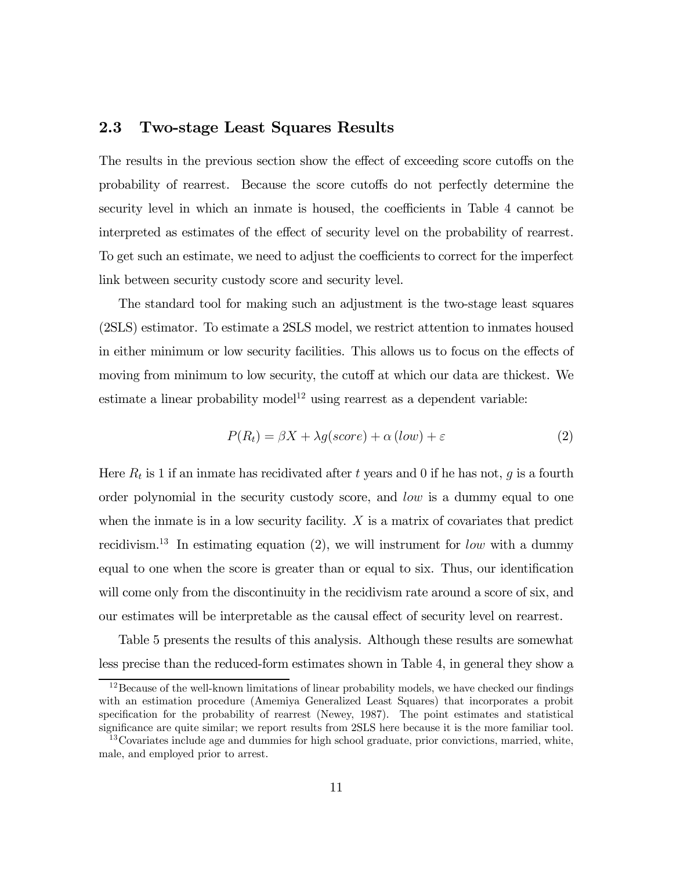### 2.3 Two-stage Least Squares Results

The results in the previous section show the effect of exceeding score cutoffs on the probability of rearrest. Because the score cutoffs do not perfectly determine the security level in which an inmate is housed, the coefficients in Table 4 cannot be interpreted as estimates of the effect of security level on the probability of rearrest. To get such an estimate, we need to adjust the coefficients to correct for the imperfect link between security custody score and security level.

The standard tool for making such an adjustment is the two-stage least squares (2SLS) estimator. To estimate a 2SLS model, we restrict attention to inmates housed in either minimum or low security facilities. This allows us to focus on the effects of moving from minimum to low security, the cutoff at which our data are thickest. We estimate a linear probability model<sup>12</sup> using rearrest as a dependent variable:

$$
P(R_t) = \beta X + \lambda g (score) + \alpha (low) + \varepsilon
$$
\n(2)

Here  $R_t$  is 1 if an inmate has recidivated after t years and 0 if he has not, g is a fourth order polynomial in the security custody score, and low is a dummy equal to one when the inmate is in a low security facility.  $X$  is a matrix of covariates that predict recidivism.<sup>13</sup> In estimating equation (2), we will instrument for low with a dummy equal to one when the score is greater than or equal to six. Thus, our identification will come only from the discontinuity in the recidivism rate around a score of six, and our estimates will be interpretable as the causal effect of security level on rearrest.

Table 5 presents the results of this analysis. Although these results are somewhat less precise than the reduced-form estimates shown in Table 4, in general they show a

<sup>&</sup>lt;sup>12</sup>Because of the well-known limitations of linear probability models, we have checked our findings with an estimation procedure (Amemiya Generalized Least Squares) that incorporates a probit specification for the probability of rearrest (Newey, 1987). The point estimates and statistical significance are quite similar; we report results from 2SLS here because it is the more familiar tool.

<sup>&</sup>lt;sup>13</sup>Covariates include age and dummies for high school graduate, prior convictions, married, white, male, and employed prior to arrest.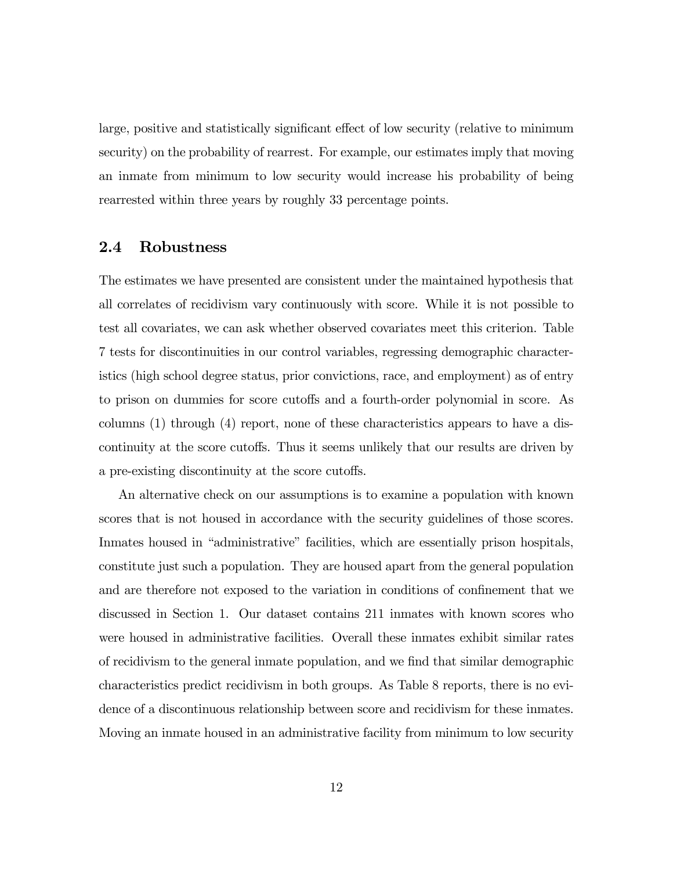large, positive and statistically significant effect of low security (relative to minimum security) on the probability of rearrest. For example, our estimates imply that moving an inmate from minimum to low security would increase his probability of being rearrested within three years by roughly 33 percentage points.

#### 2.4 Robustness

The estimates we have presented are consistent under the maintained hypothesis that all correlates of recidivism vary continuously with score. While it is not possible to test all covariates, we can ask whether observed covariates meet this criterion. Table 7 tests for discontinuities in our control variables, regressing demographic characteristics (high school degree status, prior convictions, race, and employment) as of entry to prison on dummies for score cutoffs and a fourth-order polynomial in score. As columns (1) through (4) report, none of these characteristics appears to have a discontinuity at the score cutoffs. Thus it seems unlikely that our results are driven by a pre-existing discontinuity at the score cutoffs.

An alternative check on our assumptions is to examine a population with known scores that is not housed in accordance with the security guidelines of those scores. Inmates housed in "administrative" facilities, which are essentially prison hospitals, constitute just such a population. They are housed apart from the general population and are therefore not exposed to the variation in conditions of confinement that we discussed in Section 1. Our dataset contains 211 inmates with known scores who were housed in administrative facilities. Overall these inmates exhibit similar rates of recidivism to the general inmate population, and we find that similar demographic characteristics predict recidivism in both groups. As Table 8 reports, there is no evidence of a discontinuous relationship between score and recidivism for these inmates. Moving an inmate housed in an administrative facility from minimum to low security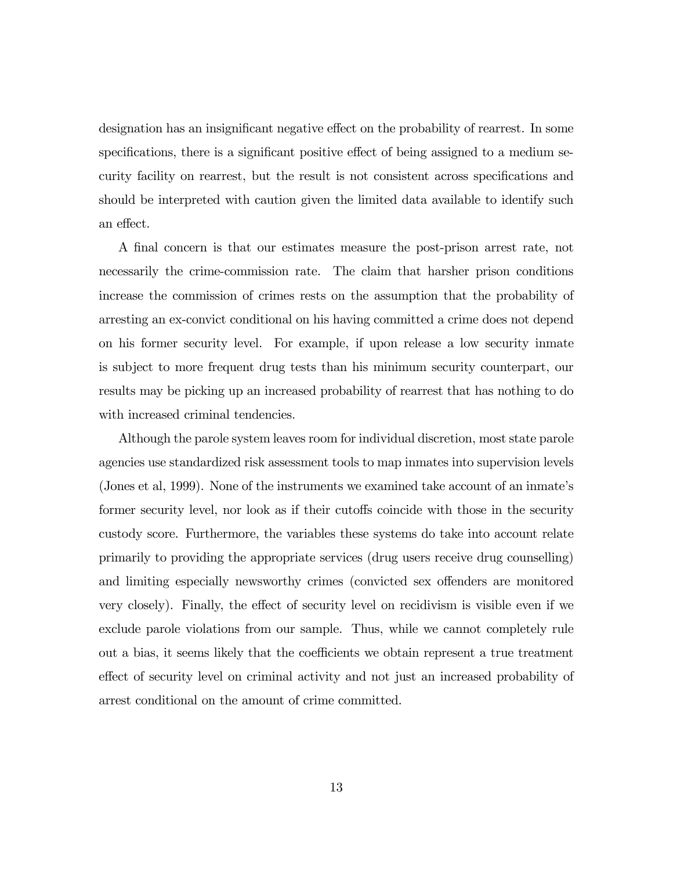designation has an insignificant negative effect on the probability of rearrest. In some specifications, there is a significant positive effect of being assigned to a medium security facility on rearrest, but the result is not consistent across specifications and should be interpreted with caution given the limited data available to identify such an effect.

A final concern is that our estimates measure the post-prison arrest rate, not necessarily the crime-commission rate. The claim that harsher prison conditions increase the commission of crimes rests on the assumption that the probability of arresting an ex-convict conditional on his having committed a crime does not depend on his former security level. For example, if upon release a low security inmate is subject to more frequent drug tests than his minimum security counterpart, our results may be picking up an increased probability of rearrest that has nothing to do with increased criminal tendencies.

Although the parole system leaves room for individual discretion, most state parole agencies use standardized risk assessment tools to map inmates into supervision levels (Jones et al, 1999). None of the instruments we examined take account of an inmate's former security level, nor look as if their cutoffs coincide with those in the security custody score. Furthermore, the variables these systems do take into account relate primarily to providing the appropriate services (drug users receive drug counselling) and limiting especially newsworthy crimes (convicted sex offenders are monitored very closely). Finally, the effect of security level on recidivism is visible even if we exclude parole violations from our sample. Thus, while we cannot completely rule out a bias, it seems likely that the coefficients we obtain represent a true treatment effect of security level on criminal activity and not just an increased probability of arrest conditional on the amount of crime committed.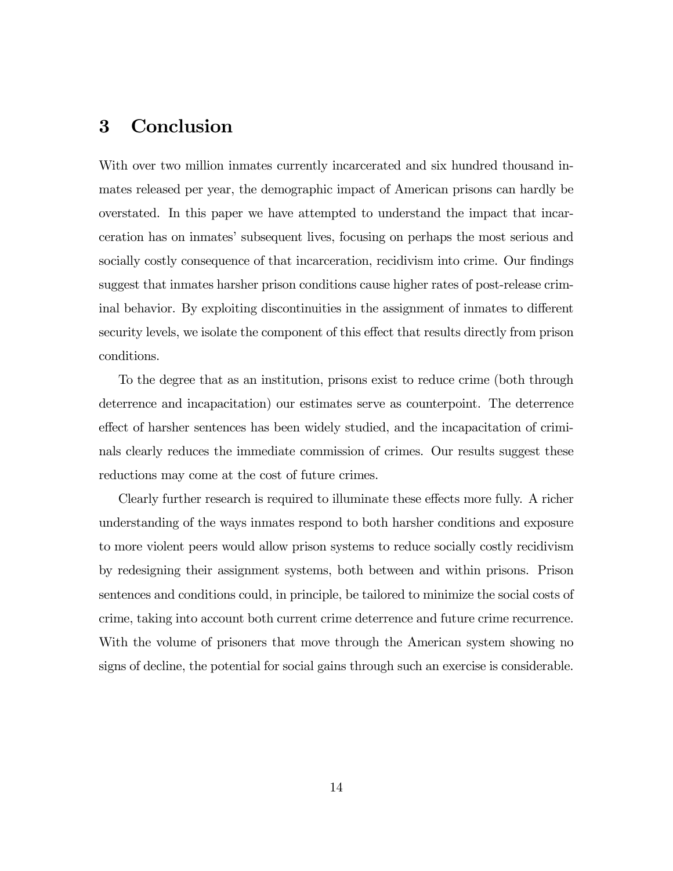### 3 Conclusion

With over two million inmates currently incarcerated and six hundred thousand inmates released per year, the demographic impact of American prisons can hardly be overstated. In this paper we have attempted to understand the impact that incarceration has on inmates' subsequent lives, focusing on perhaps the most serious and socially costly consequence of that incarceration, recidivism into crime. Our findings suggest that inmates harsher prison conditions cause higher rates of post-release criminal behavior. By exploiting discontinuities in the assignment of inmates to different security levels, we isolate the component of this effect that results directly from prison conditions.

To the degree that as an institution, prisons exist to reduce crime (both through deterrence and incapacitation) our estimates serve as counterpoint. The deterrence effect of harsher sentences has been widely studied, and the incapacitation of criminals clearly reduces the immediate commission of crimes. Our results suggest these reductions may come at the cost of future crimes.

Clearly further research is required to illuminate these effects more fully. A richer understanding of the ways inmates respond to both harsher conditions and exposure to more violent peers would allow prison systems to reduce socially costly recidivism by redesigning their assignment systems, both between and within prisons. Prison sentences and conditions could, in principle, be tailored to minimize the social costs of crime, taking into account both current crime deterrence and future crime recurrence. With the volume of prisoners that move through the American system showing no signs of decline, the potential for social gains through such an exercise is considerable.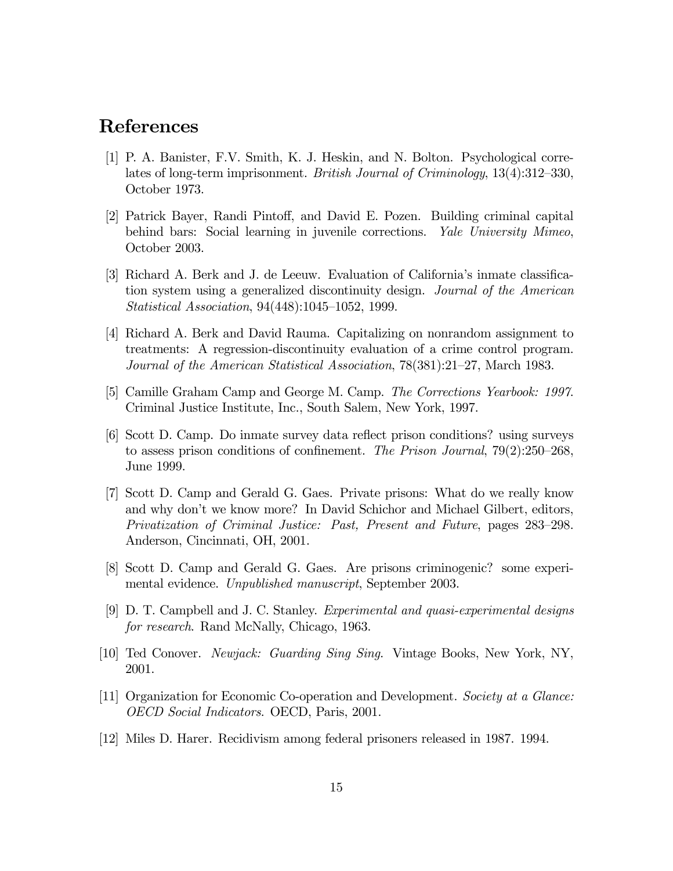### References

- [1] P. A. Banister, F.V. Smith, K. J. Heskin, and N. Bolton. Psychological correlates of long-term imprisonment. British Journal of Criminology, 13(4):312—330, October 1973.
- [2] Patrick Bayer, Randi Pintoff, and David E. Pozen. Building criminal capital behind bars: Social learning in juvenile corrections. Yale University Mimeo, October 2003.
- [3] Richard A. Berk and J. de Leeuw. Evaluation of California's inmate classification system using a generalized discontinuity design. Journal of the American Statistical Association, 94(448):1045—1052, 1999.
- [4] Richard A. Berk and David Rauma. Capitalizing on nonrandom assignment to treatments: A regression-discontinuity evaluation of a crime control program. Journal of the American Statistical Association, 78(381):21—27, March 1983.
- [5] Camille Graham Camp and George M. Camp. The Corrections Yearbook: 1997. Criminal Justice Institute, Inc., South Salem, New York, 1997.
- [6] Scott D. Camp. Do inmate survey data reflect prison conditions? using surveys to assess prison conditions of confinement. The Prison Journal, 79(2):250—268, June 1999.
- [7] Scott D. Camp and Gerald G. Gaes. Private prisons: What do we really know and why don't we know more? In David Schichor and Michael Gilbert, editors, Privatization of Criminal Justice: Past, Present and Future, pages 283—298. Anderson, Cincinnati, OH, 2001.
- [8] Scott D. Camp and Gerald G. Gaes. Are prisons criminogenic? some experimental evidence. Unpublished manuscript, September 2003.
- [9] D. T. Campbell and J. C. Stanley. Experimental and quasi-experimental designs for research. Rand McNally, Chicago, 1963.
- [10] Ted Conover. Newjack: Guarding Sing Sing. Vintage Books, New York, NY, 2001.
- [11] Organization for Economic Co-operation and Development. Society at a Glance: OECD Social Indicators. OECD, Paris, 2001.
- [12] Miles D. Harer. Recidivism among federal prisoners released in 1987. 1994.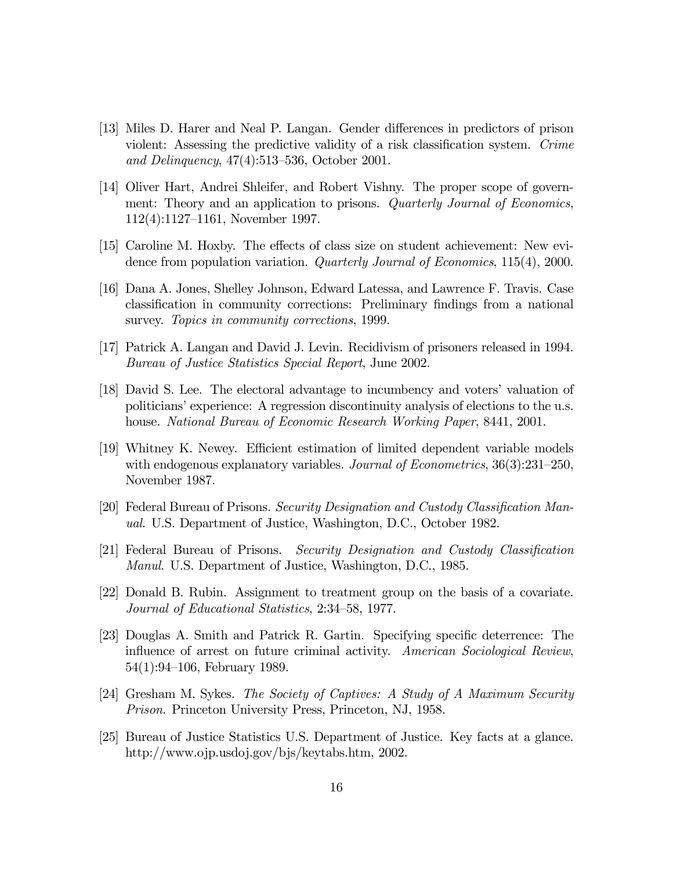- [13] Miles D. Harer and Neal P. Langan. Gender differences in predictors of prison violent: Assessing the predictive validity of a risk classification system. Crime and Delinquency, 47(4):513—536, October 2001.
- [14] Oliver Hart, Andrei Shleifer, and Robert Vishny. The proper scope of government: Theory and an application to prisons. Quarterly Journal of Economics, 112(4):1127—1161, November 1997.
- [15] Caroline M. Hoxby. The effects of class size on student achievement: New evidence from population variation. Quarterly Journal of Economics, 115(4), 2000.
- [16] Dana A. Jones, Shelley Johnson, Edward Latessa, and Lawrence F. Travis. Case classification in community corrections: Preliminary findings from a national survey. Topics in community corrections, 1999.
- [17] Patrick A. Langan and David J. Levin. Recidivism of prisoners released in 1994. Bureau of Justice Statistics Special Report, June 2002.
- [18] David S. Lee. The electoral advantage to incumbency and voters' valuation of politicians' experience: A regression discontinuity analysis of elections to the u.s. house. National Bureau of Economic Research Working Paper, 8441, 2001.
- [19] Whitney K. Newey. Efficient estimation of limited dependent variable models with endogenous explanatory variables. Journal of Econometrics, 36(3):231–250, November 1987.
- [20] Federal Bureau of Prisons. Security Designation and Custody Classification Manual. U.S. Department of Justice, Washington, D.C., October 1982.
- [21] Federal Bureau of Prisons. Security Designation and Custody Classification Manul. U.S. Department of Justice, Washington, D.C., 1985.
- [22] Donald B. Rubin. Assignment to treatment group on the basis of a covariate. Journal of Educational Statistics, 2:34—58, 1977.
- [23] Douglas A. Smith and Patrick R. Gartin. Specifying specific deterrence: The influence of arrest on future criminal activity. American Sociological Review, 54(1):94—106, February 1989.
- [24] Gresham M. Sykes. The Society of Captives: A Study of A Maximum Security Prison. Princeton University Press, Princeton, NJ, 1958.
- [25] Bureau of Justice Statistics U.S. Department of Justice. Key facts at a glance. http://www.ojp.usdoj.gov/bjs/keytabs.htm, 2002.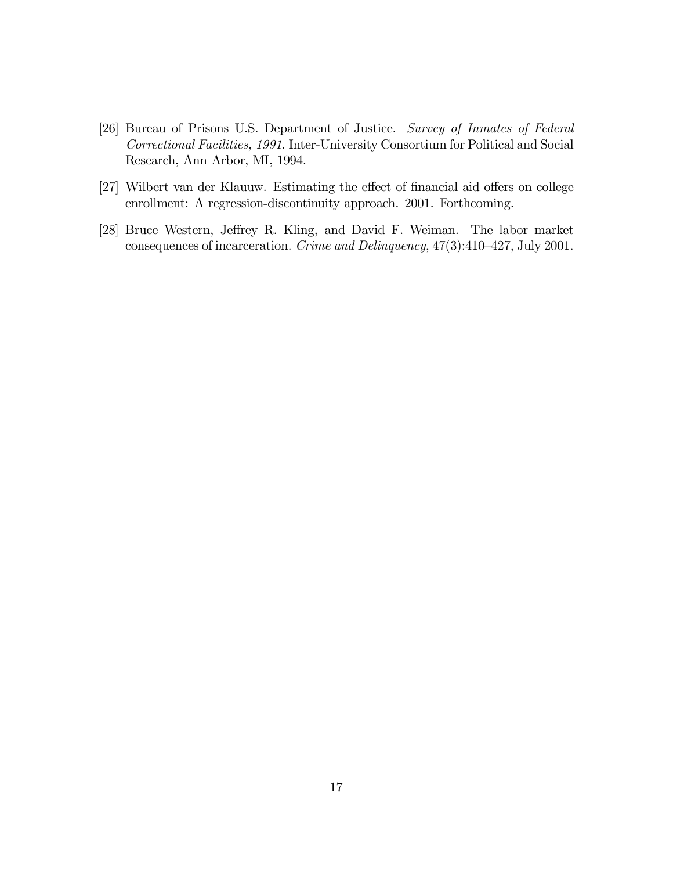- [26] Bureau of Prisons U.S. Department of Justice. Survey of Inmates of Federal Correctional Facilities, 1991. Inter-University Consortium for Political and Social Research, Ann Arbor, MI, 1994.
- [27] Wilbert van der Klauuw. Estimating the effect of financial aid offers on college enrollment: A regression-discontinuity approach. 2001. Forthcoming.
- [28] Bruce Western, Jeffrey R. Kling, and David F. Weiman. The labor market consequences of incarceration. Crime and Delinquency, 47(3):410—427, July 2001.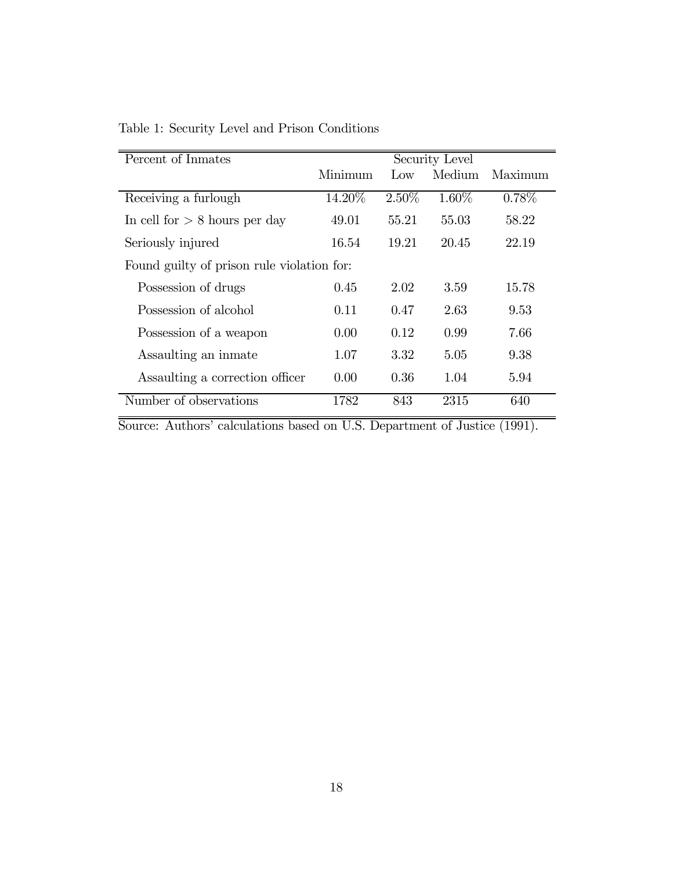| Percent of Inmates                         |         |       | Security Level |          |  |
|--------------------------------------------|---------|-------|----------------|----------|--|
|                                            | Minimum | Low   | Medium         | Maximum  |  |
| Receiving a furlough                       | 14.20%  | 2.50% | 1.60%          | $0.78\%$ |  |
| In cell for $> 8$ hours per day            | 49.01   | 55.21 | 55.03          | 58.22    |  |
| Seriously injured                          | 16.54   | 19.21 | 20.45          | 22.19    |  |
| Found guilty of prison rule violation for: |         |       |                |          |  |
| Possession of drugs                        | 0.45    | 2.02  | 3.59           | 15.78    |  |
| Possession of alcohol                      | 0.11    | 0.47  | 2.63           | 9.53     |  |
| Possession of a weapon                     | 0.00    | 0.12  | 0.99           | 7.66     |  |
| Assaulting an inmate                       | 1.07    | 3.32  | 5.05           | 9.38     |  |
| Assaulting a correction officer            | 0.00    | 0.36  | 1.04           | 5.94     |  |
| Number of observations                     | 1782    | 843   | 2315           | 640      |  |

Table 1: Security Level and Prison Conditions

Source: Authors' calculations based on U.S. Department of Justice (1991).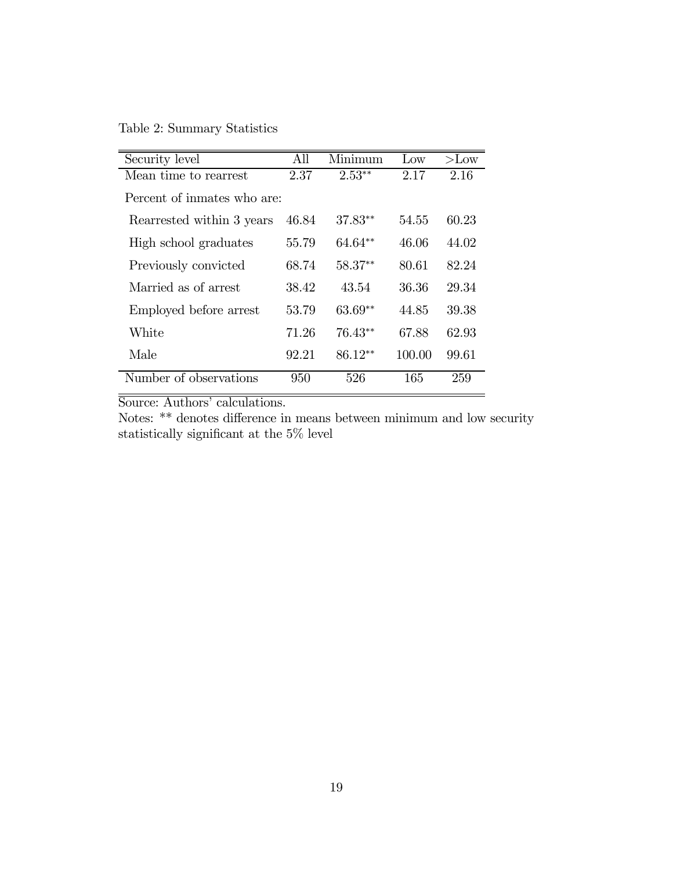Table 2: Summary Statistics

| Security level             | All   | Minimum   | Low    | $>$ Low |
|----------------------------|-------|-----------|--------|---------|
| Mean time to rearrest      | 2.37  | $2.53**$  | 2.17   | 2.16    |
| Percent of inmates who are |       |           |        |         |
| Rearrested within 3 years  | 46.84 | $37.83**$ | 54.55  | 60.23   |
| High school graduates      | 55.79 | 64.64**   | 46.06  | 44.02   |
| Previously convicted       | 68.74 | $58.37**$ | 80.61  | 82.24   |
| Married as of arrest       | 38.42 | 43.54     | 36.36  | 29.34   |
| Employed before arrest     | 53.79 | $63.69**$ | 44.85  | 39.38   |
| White                      | 71.26 | $76.43**$ | 67.88  | 62.93   |
| Male                       | 92.21 | $86.12**$ | 100.00 | 99.61   |
| Number of observations     | 950   | 526       | 165    | 259     |

Notes: \*\* denotes difference in means between minimum and low security statistically significant at the 5% level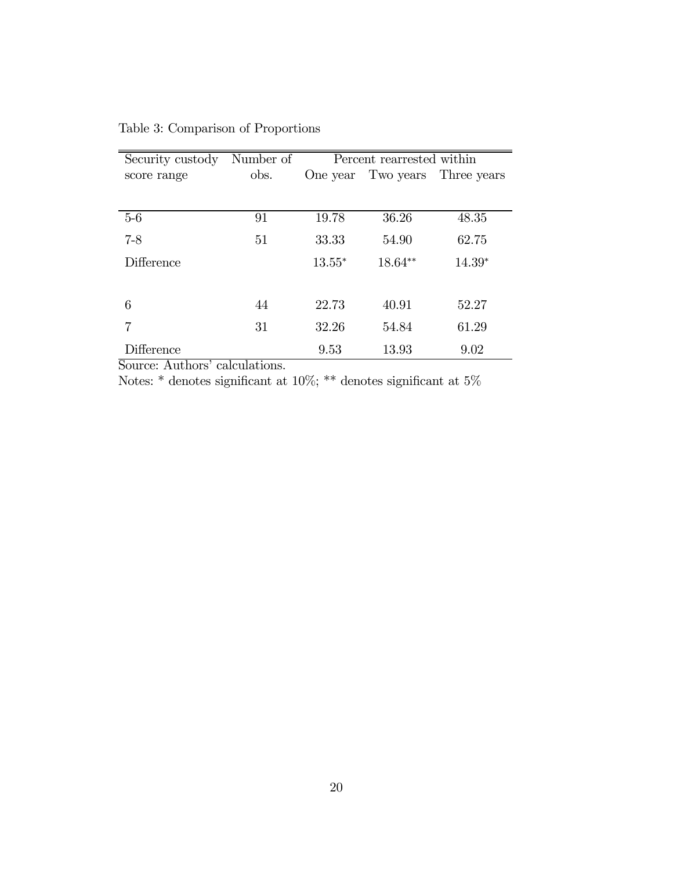| Security custody Number of |      | Percent rearrested within |         |                                |  |
|----------------------------|------|---------------------------|---------|--------------------------------|--|
| score range                | obs. |                           |         | One year Two years Three years |  |
|                            |      |                           |         |                                |  |
| $5-6$                      | 91   | 19.78                     | 36.26   | 48.35                          |  |
| $7 - 8$                    | 51   | 33.33                     | 54.90   | 62.75                          |  |
| Difference                 |      | $13.55*$                  | 18.64** | $14.39*$                       |  |
|                            |      |                           |         |                                |  |
| 6                          | 44   | 22.73                     | 40.91   | 52.27                          |  |
|                            | 31   | 32.26                     | 54.84   | 61.29                          |  |
| Difference                 |      | 9.53                      | 13.93   | 9.02                           |  |

Table 3: Comparison of Proportions

Notes: \* denotes significant at  $10\%$ ; \*\* denotes significant at  $5\%$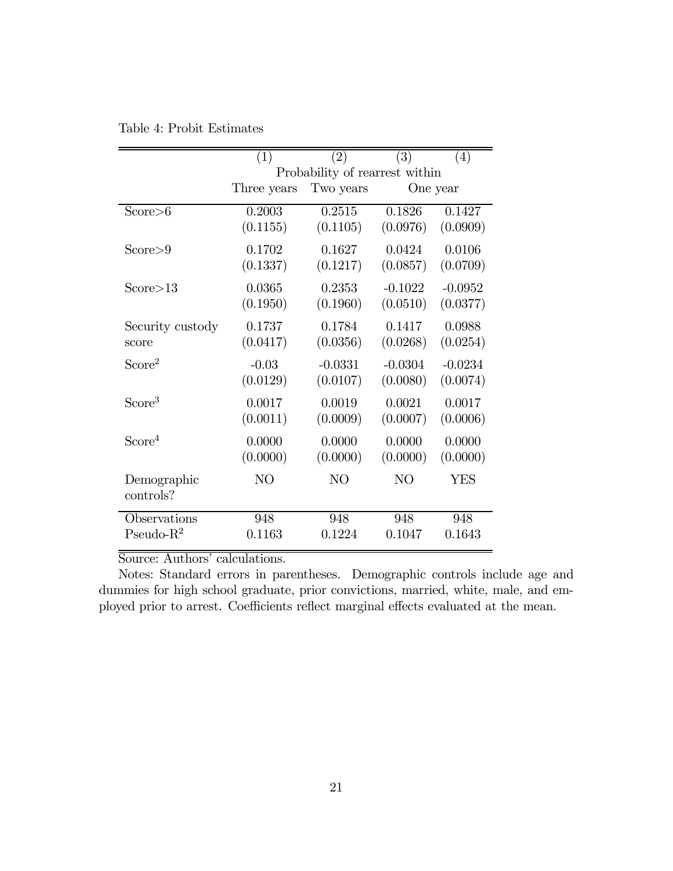|                    | (1)         | (2)                            | (3)       | (4)        |
|--------------------|-------------|--------------------------------|-----------|------------|
|                    |             | Probability of rearrest within |           |            |
|                    | Three years | Two years                      |           | One year   |
| Score > 6          | 0.2003      | 0.2515                         | 0.1826    | 0.1427     |
|                    | (0.1155)    | (0.1105)                       | (0.0976)  | (0.0909)   |
| Score > 9          | 0.1702      | 0.1627                         | 0.0424    | 0.0106     |
|                    | (0.1337)    | (0.1217)                       | (0.0857)  | (0.0709)   |
| Score > 13         | 0.0365      | 0.2353                         | $-0.1022$ | $-0.0952$  |
|                    | (0.1950)    | (0.1960)                       | (0.0510)  | (0.0377)   |
| Security custody   | 0.1737      | 0.1784                         | 0.1417    | 0.0988     |
| score              | (0.0417)    | (0.0356)                       | (0.0268)  | (0.0254)   |
| Score <sup>2</sup> | $-0.03$     | $-0.0331$                      | $-0.0304$ | $-0.0234$  |
|                    | (0.0129)    | (0.0107)                       | (0.0080)  | (0.0074)   |
| Score <sup>3</sup> | 0.0017      | 0.0019                         | 0.0021    | 0.0017     |
|                    | (0.0011)    | (0.0009)                       | (0.0007)  | (0.0006)   |
| Score <sup>4</sup> | 0.0000      | 0.0000                         | 0.0000    | 0.0000     |
|                    | (0.0000)    | (0.0000)                       | (0.0000)  | (0.0000)   |
| Demographic        | NO          | NO                             | NO        | <b>YES</b> |
| controls?          |             |                                |           |            |
| Observations       | 948         | 948                            | 948       | 948        |
| Pseudo- $R^2$      | 0.1163      | 0.1224                         | 0.1047    | 0.1643     |

Table 4: Probit Estimates

Notes: Standard errors in parentheses. Demographic controls include age and dummies for high school graduate, prior convictions, married, white, male, and employed prior to arrest. Coefficients reflect marginal effects evaluated at the mean.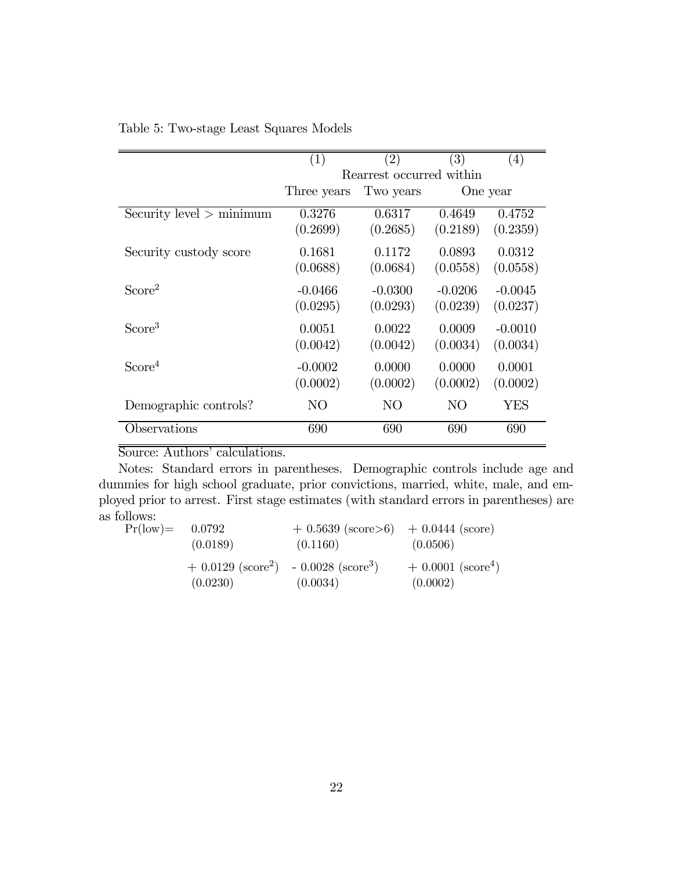|                              | (1)            | (2)                      | (3)       | (4)       |
|------------------------------|----------------|--------------------------|-----------|-----------|
|                              |                | Rearrest occurred within |           |           |
|                              | Three years    | Two years                |           | One year  |
| $Security$ level $>$ minimum | 0.3276         | 0.6317                   | 0.4649    | 0.4752    |
|                              | (0.2699)       | (0.2685)                 | (0.2189)  | (0.2359)  |
| Security custody score       | 0.1681         | 0.1172                   | 0.0893    | 0.0312    |
|                              | (0.0688)       | (0.0684)                 | (0.0558)  | (0.0558)  |
| Score <sup>2</sup>           | $-0.0466$      | $-0.0300$                | $-0.0206$ | $-0.0045$ |
|                              | (0.0295)       | (0.0293)                 | (0.0239)  | (0.0237)  |
| Score <sup>3</sup>           | 0.0051         | 0.0022                   | 0.0009    | $-0.0010$ |
|                              | (0.0042)       | (0.0042)                 | (0.0034)  | (0.0034)  |
| Score <sup>4</sup>           | $-0.0002$      | 0.0000                   | 0.0000    | 0.0001    |
|                              | (0.0002)       | (0.0002)                 | (0.0002)  | (0.0002)  |
| Demographic controls?        | N <sub>O</sub> | NO                       | NO        | YES       |
| Observations                 | 690            | 690                      | 690       | 690       |

#### Table 5: Two-stage Least Squares Models

### Source: Authors' calculations.

Notes: Standard errors in parentheses. Demographic controls include age and dummies for high school graduate, prior convictions, married, white, male, and employed prior to arrest. First stage estimates (with standard errors in parentheses) are as follows:<br> $Pr($ low

| $Pr(low) = 0.0792$ | (0.0189)                                                                   | $+ 0.5639$ (score>6) $+ 0.0444$ (score)<br>(0.1160) | (0.0506)                                     |
|--------------------|----------------------------------------------------------------------------|-----------------------------------------------------|----------------------------------------------|
|                    | $+0.0129$ (score <sup>2</sup> ) - 0.0028 (score <sup>3</sup> )<br>(0.0230) | (0.0034)                                            | $+ 0.0001$ (score <sup>4</sup> )<br>(0.0002) |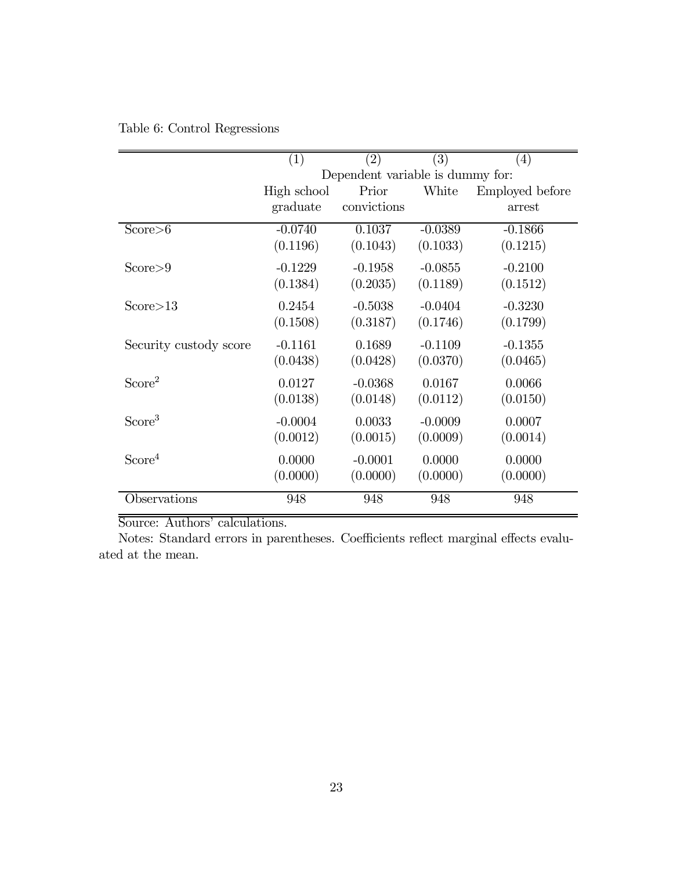|  |  | Table 6: Control Regressions |
|--|--|------------------------------|
|--|--|------------------------------|

|                        | $\left( 1\right)$ | $\left( 2\right)$                | $\left( 3\right)$ | $\left( 4\right)$ |
|------------------------|-------------------|----------------------------------|-------------------|-------------------|
|                        |                   | Dependent variable is dummy for: |                   |                   |
|                        | High school       | Prior                            | White             | Employed before   |
|                        | graduate          | convictions                      |                   | arrest            |
| Score > 6              | $-0.0740$         | 0.1037                           | $-0.0389$         | $-0.1866$         |
|                        | (0.1196)          | (0.1043)                         | (0.1033)          | (0.1215)          |
| Score > 9              | $-0.1229$         | $-0.1958$                        | $-0.0855$         | $-0.2100$         |
|                        | (0.1384)          | (0.2035)                         | (0.1189)          | (0.1512)          |
| Score>13               | 0.2454            | $-0.5038$                        | $-0.0404$         | $-0.3230$         |
|                        | (0.1508)          | (0.3187)                         | (0.1746)          | (0.1799)          |
| Security custody score | $-0.1161$         | 0.1689                           | $-0.1109$         | $-0.1355$         |
|                        | (0.0438)          | (0.0428)                         | (0.0370)          | (0.0465)          |
| Score <sup>2</sup>     | 0.0127            | $-0.0368$                        | 0.0167            | 0.0066            |
|                        | (0.0138)          | (0.0148)                         | (0.0112)          | (0.0150)          |
| Score <sup>3</sup>     | $-0.0004$         | 0.0033                           | $-0.0009$         | 0.0007            |
|                        | (0.0012)          | (0.0015)                         | (0.0009)          | (0.0014)          |
| Score <sup>4</sup>     | 0.0000            | $-0.0001$                        | 0.0000            | 0.0000            |
|                        | (0.0000)          | (0.0000)                         | (0.0000)          | (0.0000)          |
| Observations           | 948               | 948                              | 948               | 948               |

Notes: Standard errors in parentheses. Coefficients reflect marginal effects evaluated at the mean.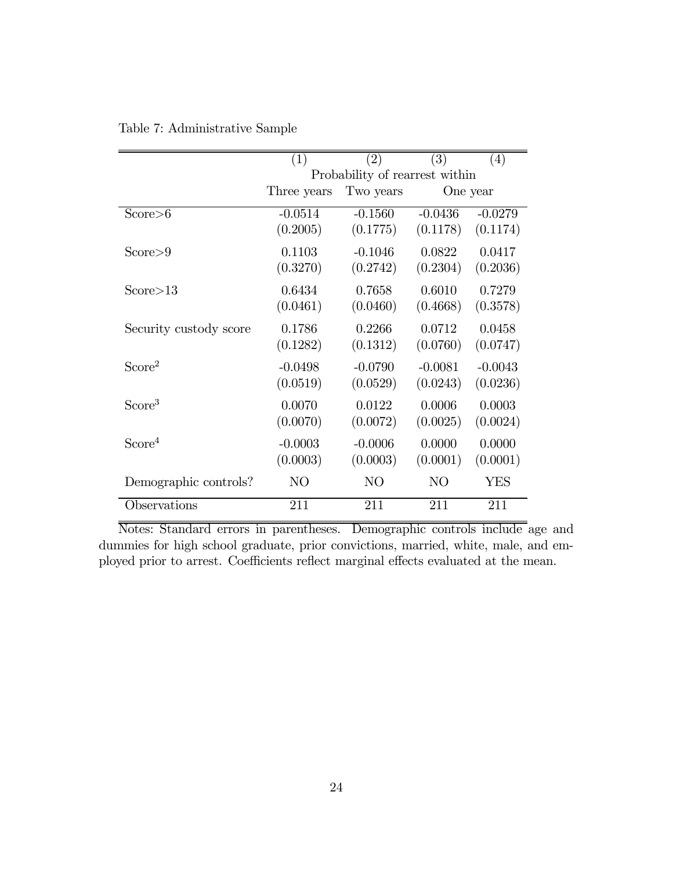|                        | (1)         | (2)                            | $\overline{(3)}$ | (4)       |
|------------------------|-------------|--------------------------------|------------------|-----------|
|                        |             | Probability of rearrest within |                  |           |
|                        | Three years |                                | One year         |           |
| Score > 6              | $-0.0514$   | $-0.1560$                      | $-0.0436$        | $-0.0279$ |
|                        | (0.2005)    | (0.1775)                       | (0.1178)         | (0.1174)  |
| Score > 9              | 0.1103      | $-0.1046$                      | 0.0822           | 0.0417    |
|                        | (0.3270)    | (0.2742)                       | (0.2304)         | (0.2036)  |
| Score>13               | 0.6434      | 0.7658                         | 0.6010           | 0.7279    |
|                        | (0.0461)    | (0.0460)                       | (0.4668)         | (0.3578)  |
| Security custody score | 0.1786      | 0.2266                         | 0.0712           | 0.0458    |
|                        | (0.1282)    | (0.1312)                       | (0.0760)         | (0.0747)  |
| Score <sup>2</sup>     | $-0.0498$   | $-0.0790$                      | $-0.0081$        | $-0.0043$ |
|                        | (0.0519)    | (0.0529)                       | (0.0243)         | (0.0236)  |
| Score <sup>3</sup>     | 0.0070      | 0.0122                         | 0.0006           | 0.0003    |
|                        | (0.0070)    | (0.0072)                       | (0.0025)         | (0.0024)  |
| Score <sup>4</sup>     | $-0.0003$   | $-0.0006$                      | 0.0000           | 0.0000    |
|                        | (0.0003)    | (0.0003)                       | (0.0001)         | (0.0001)  |
| Demographic controls?  | NO          | N <sub>O</sub>                 | NO               | YES       |
| Observations           | 211         | 211                            | 211              | 211       |

Table 7: Administrative Sample

Notes: Standard errors in parentheses. Demographic controls include age and dummies for high school graduate, prior convictions, married, white, male, and employed prior to arrest. Coefficients reflect marginal effects evaluated at the mean.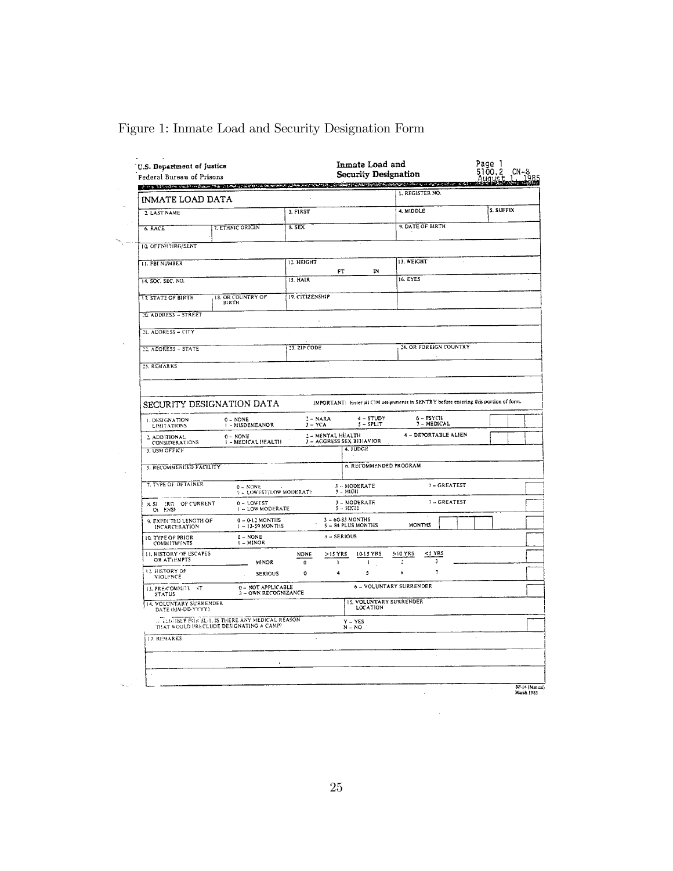| <b>INMATE LOAD DATA</b>                                                       | i ja 1960an kali admo ja 1960a, dana dan katangan masa kasa kang mangalakan kalendar dan sasa kasa |                         |                                               |                                            |                | 1. REGISTER NO.                                    |           |  |
|-------------------------------------------------------------------------------|----------------------------------------------------------------------------------------------------|-------------------------|-----------------------------------------------|--------------------------------------------|----------------|----------------------------------------------------|-----------|--|
| 2 LAST NAME                                                                   |                                                                                                    | 3. FIRST                |                                               |                                            | 4. MIDDLE      |                                                    | 5. SUFFIX |  |
| 6. RACE                                                                       | 7. ETHNIC ORIGIN                                                                                   | 8. SEX                  |                                               |                                            |                | 9. DATE OF BIRTH                                   |           |  |
| <b>10. OFFN/CHRG/SENT</b>                                                     |                                                                                                    |                         |                                               |                                            |                |                                                    |           |  |
| <b>II. FBI NUMBER</b>                                                         |                                                                                                    | <b>12. HEIGHT</b>       |                                               |                                            | 13. WEIGHT     |                                                    |           |  |
| 14. SOC. SEC. NO.                                                             |                                                                                                    | 15. HAIR                | FT                                            | IN                                         | 16. EYES       |                                                    |           |  |
| <b>17. STATE OF BIRTH</b>                                                     | 18. OR COUNTRY OF<br>BIRTH                                                                         | 19. CITIZENSHIP         |                                               |                                            |                |                                                    |           |  |
| 20. ADDRESS - STREET                                                          |                                                                                                    |                         |                                               |                                            |                |                                                    |           |  |
| 21. ADDRESS - CITY                                                            |                                                                                                    |                         |                                               |                                            |                |                                                    |           |  |
| 22 ADDRESS - STATE                                                            |                                                                                                    | 23. ZIP CODE            |                                               |                                            |                | 24. OR FOREIGN COUNTRY                             |           |  |
| 25. REMARKS                                                                   |                                                                                                    |                         |                                               |                                            |                |                                                    |           |  |
| 1. DESIGNATION<br><b>LIMITATIONS</b><br>2 ADDITIONAL<br><b>CONSIDERATIONS</b> | 0 - NONE<br>1 - MISDEMEANOR<br>$0 - NONE$<br>1 - MEDICAL HEALTH                                    | $2 - NARA$<br>$3 - YCA$ | 2 - MENTAL HEALTH<br>3 - AGGRESS SEX BEHAVIOR | 4 - STUDY<br>$5 - SPLIT$                   |                | $6 - PSYCH$<br>7 - MEDICAL<br>4 - DEPORTABLE ALIEN |           |  |
| 3. USM OFFICE                                                                 |                                                                                                    |                         |                                               | 4. JUDGE                                   |                |                                                    |           |  |
| S. RECOMMENDED FACILITY                                                       |                                                                                                    |                         |                                               | 6. RECOMMENDED PROGRAM                     |                |                                                    |           |  |
| 7. TYPE OF DETAINER                                                           | $0 - NONE$<br><b>F = LOWEST/LOW MODERATE</b>                                                       |                         |                                               | 3 - MODERATE<br>5 - HIGH                   |                | 7 - GREATEST                                       |           |  |
| OF CURRENT<br>BIT.<br>3. SI<br>Oi ENSE                                        | 0 - LOWEST<br><b>I - LOW MODERATE</b>                                                              |                         | $5 - HIGH$                                    | 3 - MODERATE                               |                | 7-GREATEST                                         |           |  |
| 9. EXPECTED LENGTH OF<br>INCARCERATION                                        | $0 - 0.12$ MONTHS<br>$1 - 13 - 59$ MONTHS                                                          |                         | 3-60-83 MONTHS                                | 5 - 84 PLUS MONTHS                         |                | <b>MONTHS</b>                                      |           |  |
| 10 TYPE OF PRIOR<br><b>COMMITMENTS</b>                                        | $0 - NONE$<br>I - MINOR                                                                            |                         | 3 - SERIOUS                                   |                                            |                |                                                    |           |  |
| <b>11. HISTORY OF ESCAPES</b><br>OR ATTEMPTS                                  | <b>MINOR</b>                                                                                       | <b>NONE</b><br>0        | $>15$ YRS<br>n                                | 10-15 YRS<br>÷                             | 5-10 YRS<br>Ĩ. | <5 YRS<br>$\overline{\mathbf{3}}$                  |           |  |
|                                                                               | SERIOUS                                                                                            | $\mathbf{o}$            | 4                                             | 5                                          | 6              | 7                                                  |           |  |
| 12 HISTORY OF<br>VIOLENCE                                                     |                                                                                                    |                         |                                               | 6 - VOLUNTARY SURRENDER                    |                |                                                    |           |  |
| 13. PRE-COMMITY<br>- T<br><b>STATUS</b>                                       | 0 - NOT APPLICABLE<br>3 - OWN RECOGNIZANCE                                                         |                         |                                               |                                            |                |                                                    |           |  |
| 14. VOLUNTARY SURRENDER<br>DATE (NM-DD-YYYY)                                  |                                                                                                    |                         |                                               | <b>15. VOLUNTARY SURRENDER</b><br>LOCATION |                |                                                    |           |  |
|                                                                               | . LEIGIBLE FOR SL-1, IS THERE ANY MEDICAL REASON<br>THAT WOULD PRECLUDE DESIGNATING A CAMP?        |                         |                                               | $Y - YES$<br>$N - NO$                      |                |                                                    |           |  |
| <b>17. REMARKS</b>                                                            |                                                                                                    |                         |                                               |                                            |                |                                                    |           |  |

### Figure 1: Inmate Load and Security Designation Form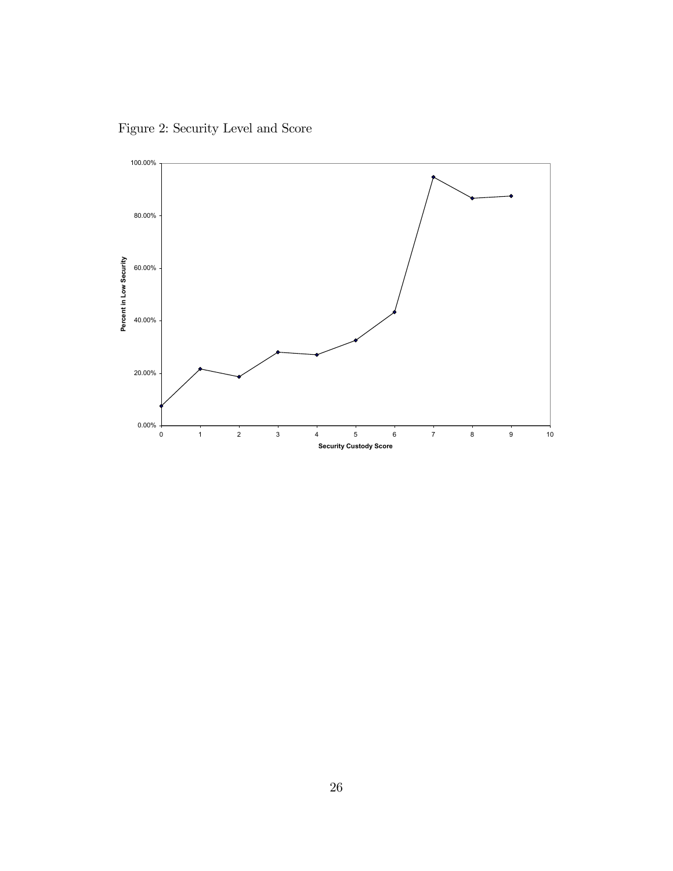Figure 2: Security Level and Score

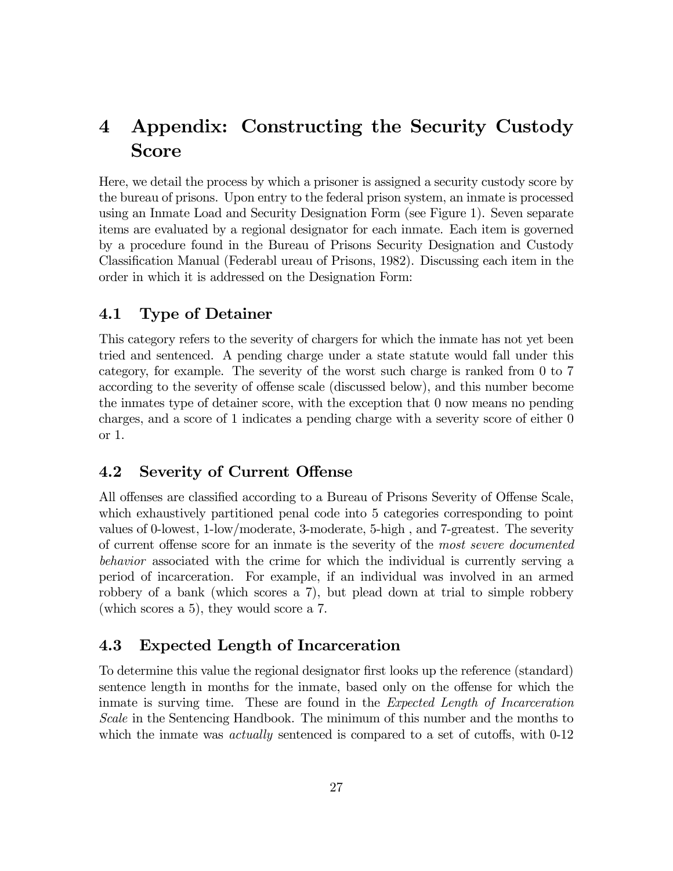# 4 Appendix: Constructing the Security Custody Score

Here, we detail the process by which a prisoner is assigned a security custody score by the bureau of prisons. Upon entry to the federal prison system, an inmate is processed using an Inmate Load and Security Designation Form (see Figure 1). Seven separate items are evaluated by a regional designator for each inmate. Each item is governed by a procedure found in the Bureau of Prisons Security Designation and Custody Classification Manual (Federabl ureau of Prisons, 1982). Discussing each item in the order in which it is addressed on the Designation Form:

### 4.1 Type of Detainer

This category refers to the severity of chargers for which the inmate has not yet been tried and sentenced. A pending charge under a state statute would fall under this category, for example. The severity of the worst such charge is ranked from 0 to 7 according to the severity of offense scale (discussed below), and this number become the inmates type of detainer score, with the exception that 0 now means no pending charges, and a score of 1 indicates a pending charge with a severity score of either 0 or 1.

### 4.2 Severity of Current Offense

All offenses are classified according to a Bureau of Prisons Severity of Offense Scale, which exhaustively partitioned penal code into 5 categories corresponding to point values of 0-lowest, 1-low/moderate, 3-moderate, 5-high , and 7-greatest. The severity of current offense score for an inmate is the severity of the most severe documented behavior associated with the crime for which the individual is currently serving a period of incarceration. For example, if an individual was involved in an armed robbery of a bank (which scores a 7), but plead down at trial to simple robbery (which scores a 5), they would score a 7.

### 4.3 Expected Length of Incarceration

To determine this value the regional designator first looks up the reference (standard) sentence length in months for the inmate, based only on the offense for which the inmate is surving time. These are found in the Expected Length of Incarceration Scale in the Sentencing Handbook. The minimum of this number and the months to which the inmate was *actually* sentenced is compared to a set of cutoffs, with 0-12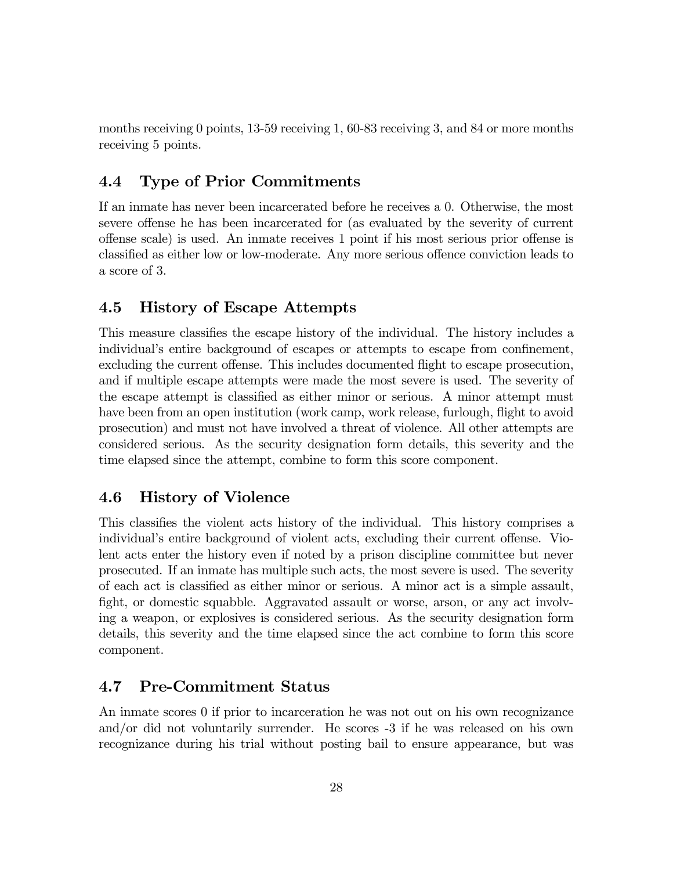months receiving 0 points, 13-59 receiving 1, 60-83 receiving 3, and 84 or more months receiving 5 points.

### 4.4 Type of Prior Commitments

If an inmate has never been incarcerated before he receives a 0. Otherwise, the most severe offense he has been incarcerated for (as evaluated by the severity of current offense scale) is used. An inmate receives 1 point if his most serious prior offense is classified as either low or low-moderate. Any more serious offence conviction leads to a score of 3.

### 4.5 History of Escape Attempts

This measure classifies the escape history of the individual. The history includes a individual's entire background of escapes or attempts to escape from confinement, excluding the current offense. This includes documented flight to escape prosecution, and if multiple escape attempts were made the most severe is used. The severity of the escape attempt is classified as either minor or serious. A minor attempt must have been from an open institution (work camp, work release, furlough, flight to avoid prosecution) and must not have involved a threat of violence. All other attempts are considered serious. As the security designation form details, this severity and the time elapsed since the attempt, combine to form this score component.

### 4.6 History of Violence

This classifies the violent acts history of the individual. This history comprises a individual's entire background of violent acts, excluding their current offense. Violent acts enter the history even if noted by a prison discipline committee but never prosecuted. If an inmate has multiple such acts, the most severe is used. The severity of each act is classified as either minor or serious. A minor act is a simple assault, fight, or domestic squabble. Aggravated assault or worse, arson, or any act involving a weapon, or explosives is considered serious. As the security designation form details, this severity and the time elapsed since the act combine to form this score component.

### 4.7 Pre-Commitment Status

An inmate scores 0 if prior to incarceration he was not out on his own recognizance and/or did not voluntarily surrender. He scores -3 if he was released on his own recognizance during his trial without posting bail to ensure appearance, but was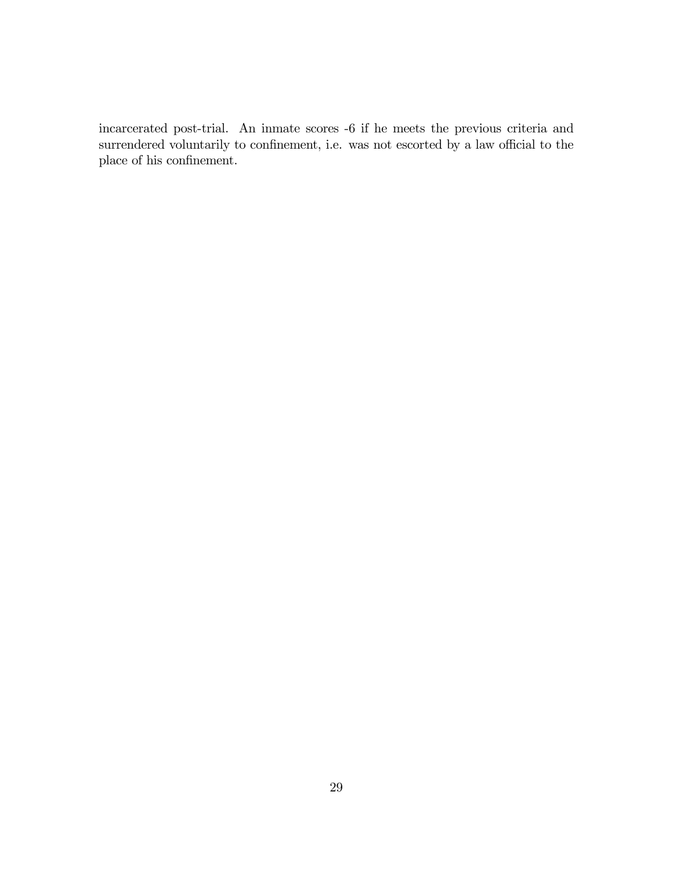incarcerated post-trial. An inmate scores -6 if he meets the previous criteria and surrendered voluntarily to confinement, i.e. was not escorted by a law official to the place of his confinement.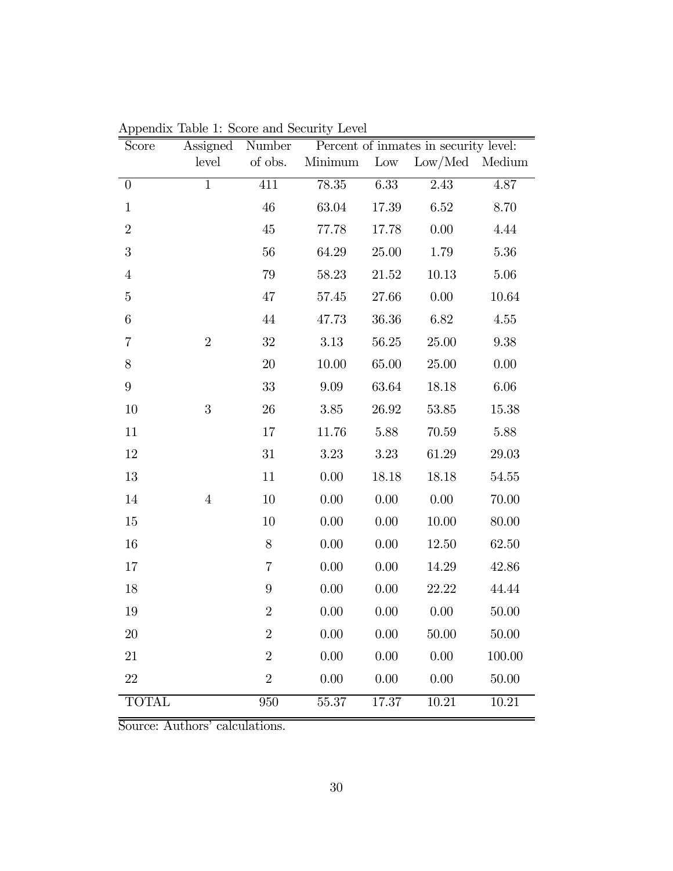| Score          | Assigned       | Number         |          |          | Percent of inmates in security level: |          |
|----------------|----------------|----------------|----------|----------|---------------------------------------|----------|
|                | level          | of obs.        | Minimum  | Low      | Low/Med Medium                        |          |
| $\theta$       | $\mathbf 1$    | 411            | 78.35    | 6.33     | 2.43                                  | 4.87     |
| $\mathbf{1}$   |                | 46             | 63.04    | 17.39    | 6.52                                  | 8.70     |
| $\overline{2}$ |                | 45             | 77.78    | 17.78    | 0.00                                  | 4.44     |
| 3              |                | 56             | 64.29    | 25.00    | 1.79                                  | 5.36     |
| $\overline{4}$ |                | 79             | 58.23    | 21.52    | 10.13                                 | 5.06     |
| $\mathbf 5$    |                | 47             | 57.45    | 27.66    | 0.00                                  | 10.64    |
| $\,6$          |                | 44             | 47.73    | 36.36    | 6.82                                  | 4.55     |
| 7              | $\overline{2}$ | 32             | 3.13     | 56.25    | 25.00                                 | 9.38     |
| $8\,$          |                | 20             | 10.00    | 65.00    | 25.00                                 | 0.00     |
| $9\phantom{.}$ |                | 33             | 9.09     | 63.64    | 18.18                                 | $6.06\,$ |
| 10             | 3              | 26             | $3.85\,$ | 26.92    | 53.85                                 | 15.38    |
| 11             |                | 17             | 11.76    | 5.88     | 70.59                                 | 5.88     |
| 12             |                | 31             | $3.23\,$ | 3.23     | 61.29                                 | 29.03    |
| 13             |                | 11             | 0.00     | 18.18    | 18.18                                 | 54.55    |
| 14             | $\overline{4}$ | 10             | 0.00     | 0.00     | 0.00                                  | 70.00    |
| 15             |                | 10             | 0.00     | 0.00     | $10.00\,$                             | 80.00    |
| 16             |                | $8\,$          | 0.00     | 0.00     | 12.50                                 | 62.50    |
| 17             |                | $\overline{7}$ | 0.00     | 0.00     | 14.29                                 | 42.86    |
| 18             |                | 9              | 0.00     | 0.00     | 22.22                                 | 44.44    |
| 19             |                | $\overline{2}$ | 0.00     | 0.00     | 0.00                                  | 50.00    |
| 20             |                | $\overline{2}$ | 0.00     | 0.00     | 50.00                                 | 50.00    |
| 21             |                | $\overline{2}$ | $0.00\,$ | $0.00\,$ | $0.00\,$                              | 100.00   |
| $22\,$         |                | $\overline{2}$ | 0.00     | 0.00     | 0.00                                  | 50.00    |
| <b>TOTAL</b>   |                | 950            | 55.37    | 17.37    | 10.21                                 | 10.21    |

Appendix Table 1: Score and Security Level